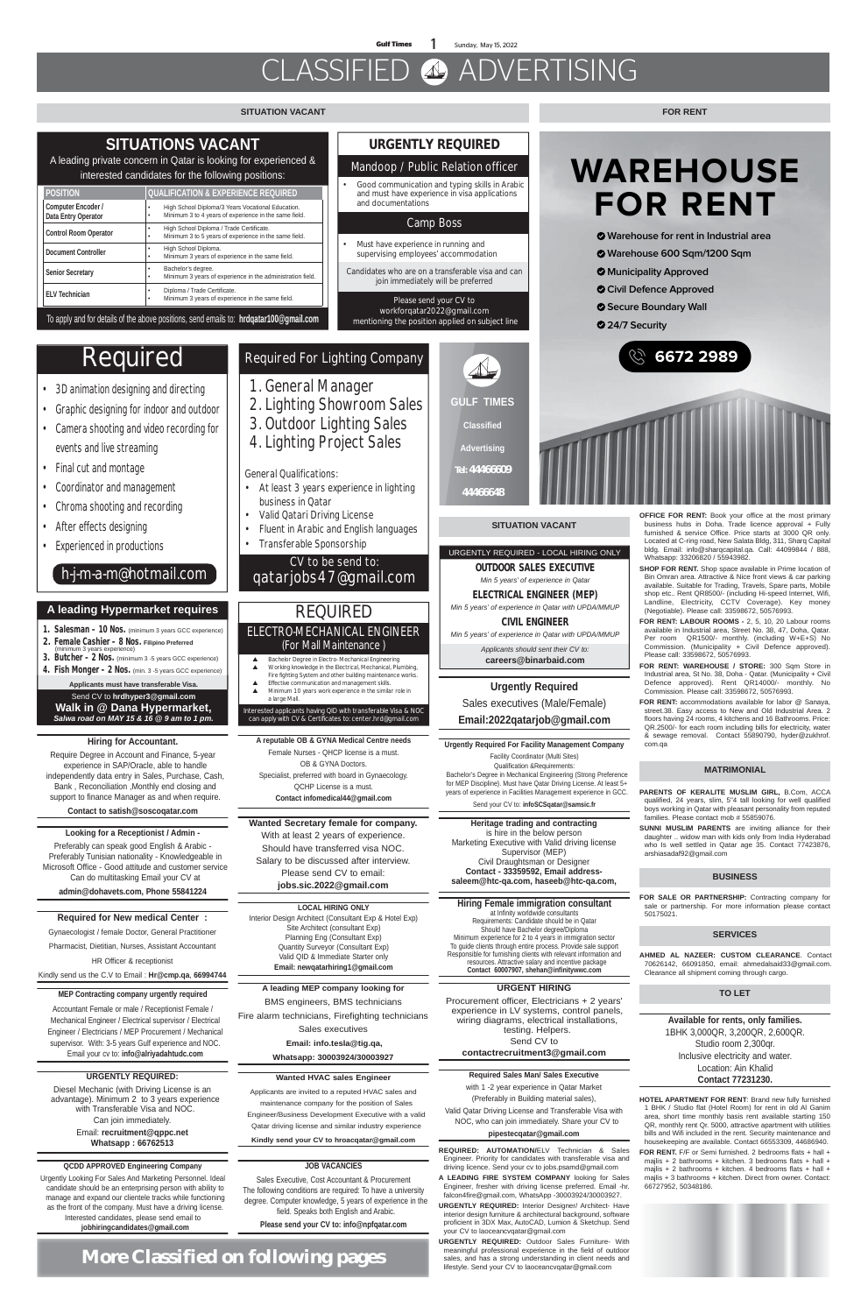#### **SERVICES**

#### **BUSINESS**

#### **Wanted Secretary female for company.**

With at least 2 years of experience. Should have transferred visa NOC. Salary to be discussed after interview. Please send CV to email: **jobs.sic.2022@gmail.com**

#### **URGENT HIRING**

Procurement officer, Electricians + 2 years' experience in LV systems, control panels, wiring diagrams, electrical installations, testing. Helpers. Send CV to **contactrecruitment3@gmail.com**

**SUNNI MUSLIM PARENTS** are inviting alliance for their daughter .. widow man with kids only from India Hyderabad who Is well settled in Qatar age 35. Contact 77423876, arshiasadaf92@gmail.com

#### **MATRIMONIAL**

**More Classified on following pages**

#### **SITUATION VACANT**

#### **SITUATION VACANT**

**PARENTS OF KERALITE MUSLIM GIRL,** B.Com, ACCA qualified, 24 years, slim, 5"4 tall looking for well qualified boys working in Qatar with pleasant personality from reputed families. Please contact mob # 55859076.

- **3D animation designing and directing**
- **Graphic designing for indoor and outdoor**
- **Camera shooting and video recording for events and live streaming**
- **Final cut and montage**
- **Coordinator and management**
- **Chroma shooting and recording**
- **After effects designing**
- **Experienced in productions**

## Required

### **h-j-m-a-m@hotmail.com**

### **Required For Lighting Company**

- **1. General Manager**
- **2. Lighting Showroom Sales**
- **3. Outdoor Lighting Sales**
- **4. Lighting Project Sales**

#### **OFFICE FOR RENT:** Book your office at the most primary business hubs in Doha. Trade licence approval + Fully furnished & service Office. Price starts at 3000 QR only. Located at C-ring road, New Salata Bldg, 311, Sharq Capital bldg. Email: info@sharqcapital.qa. Call: 44099844 / 888, Whatsapp: 33206820 / 55943982.

#### **General Qualifications:**

- **At least 3 years experience in lighting business in Qatar**
- **Valid Qatari Driving License**
- **Fluent in Arabic and English languages**
- **Transferable Sponsorship**

### **CV to be send to: qatarjobs47@gmail.com**

#### **TO LET**

#### **FOR RENT**

**HOTEL APARTMENT FOR RENT**: Brand new fully furnished 1 BHK / Studio flat (Hotel Room) for rent in old Al Ganim area, short time monthly basis rent available starting 150 QR, monthly rent Qr. 5000, attractive apartment with utilities bills and Wifi included in the rent. Security maintenance and housekeeping are available. Contact 66553309, 44686940.

**FOR RENT.** F/F or Semi furnished. 2 bedrooms flats + hall + majlis + 2 bathrooms + kitchen. 3 bedrooms flats + hall + majlis + 2 bathrooms + kitchen. 4 bedrooms flats + hall + majlis + 3 bathrooms + kitchen. Direct from owner. Contact: 66727952, 50348186.



#### **Wanted HVAC sales Engineer**

Applicants are invited to a reputed HVAC sales and maintenance company for the position of Sales Engineer/Business Development Executive with a valid Qatar driving license and similar industry experience

**Kindly send your CV to hroacqatar@gmail.com**

- **SHOP FOR RENT.** Shop space available in Prime location of Bin Omran area. Attractive & Nice front views & car parking available. Suitable for Trading, Travels, Spare parts, Mobile shop etc.. Rent QR8500/- (including Hi-speed Internet, Wifi, Landline, Electricity, CCTV Coverage). Key money (Negotiable). Please call: 33598672, 50576993.
- **FOR RENT: LABOUR ROOMS -** 2, 5, 10, 20 Labour rooms available in Industrial area, Street No. 38, 47, Doha, Qatar. Per room QR1500/- monthly. (including W+E+S) No Commission. (Municipality + Civil Defence approved). Please call: 33598672, 50576993.
- **FOR RENT: WAREHOUSE / STORE:** 300 Sqm Store in Industrial area, St No. 38, Doha - Qatar. (Municipality + Civil Defence approved). Rent QR14000/- monthly. No Commission. Please call: 33598672, 50576993.
- **FOR RENT:** accommodations available for labor @ Sanaya, street.38. Easy access to New and Old Industrial Area. 2 floors having 24 rooms, 4 kitchens and 16 Bathrooms. Price: QR.2500/- for each room including bills for electricity, water & sewage removal. Contact 55890790, hyder@zukhrof. com.qa

#### **URGENTLY REQUIRED:**

Diesel Mechanic (with Driving License is an advantage). Minimum 2 to 3 years experience with Transferable Visa and NOC. Can join immediately.

Email: **recruitment@qppc.net Whatsapp : 66762513**

**Heritage trading and contracting**  is hire in the below person Marketing Executive with Valid driving license Supervisor (MEP) Civil Draughtsman or Designer **Contact - 33359592, Email addresssaleem@htc-qa.com, haseeb@htc-qa.com,**

#### **QCDD APPROVED Engineering Company**

Urgently Looking For Sales And Marketing Personnel. Ideal candidate should be an enterprising person with ability to manage and expand our clientele tracks while functioning as the front of the company. Must have a driving license. Interested candidates, please send email to **jobhiringcandidates@gmail.com**

**A leading MEP company looking for** BMS engineers, BMS technicians Fire alarm technicians, Firefighting technicians Sales executives  **Email: info.tesla@tig.qa,** 

**Whatsapp: 30003924/30003927**

#### **Required Sales Man/ Sales Executive**

with 1 -2 year experience in Qatar Market (Preferably in Building material sales), Valid Qatar Driving License and Transferable Visa with NOC, who can join immediately. Share your CV to

#### **pipestecqatar@gmail.com**

#### **Required for New medical Center :**

Gynaecologist / female Doctor, General Practitioner Pharmacist, Dietitian, Nurses, Assistant Accountant HR Officer & receptionist

- 1. Salesman 10 Nos. (minimum 3 years GCC experience)
- 2. Female Cashier 8 Nos. **Filipino Preferred**
- 3. Butcher 2 Nos. (minimum 3 -5 years GCC experience) (minimum 3 years experience)

**4. Fish Monger – 2 Nos.** (min. 3 -5 years GCC experience)

Kindly send us the C.V to Email : **Hr@cmp.qa**, **66994744**

#### **Hiring for Accountant.**

Require Degree in Account and Finance, 5-year experience in SAP/Oracle, able to handle independently data entry in Sales, Purchase, Cash, Bank , Reconciliation ,Monthly end closing and support to finance Manager as and when require.

**Contact to satish@soscoqatar.com**

#### **LOCAL HIRING ONLY**

Interior Design Architect (Consultant Exp & Hotel Exp) Site Architect (consultant Exp) Planning Eng (Consultant Exp) Quantity Surveyor (Consultant Exp) Valid QID & Immediate Starter only **Email: newqatarhiring1@gmail.com**

#### **Hiring Female immigration consultant**

at Infinity worldwide consultants Requirements: Candidate should be in Qatar Should have Bachelor degree/Diploma Minimum experience for 2 to 4 years in immigration sector To guide clients through entire process. Provide sale support Responsible for furnishing clients with relevant information and resources. Attractive salary and incentive package **Contact 60007907, shehan@infinitywwc.com**

### **Urgently Required**

### Sales executives (Male/Female)

**Email:2022qatarjob@gmail.com**

#### **Urgently Required For Facility Management Company** Facility Coordinator (Multi Sites)

Qualification &Requirements: Bachelor's Degree in Mechanical Engineering (Strong Preference for MEP Discipline). Must have Qatar Driving License. At least 5+

years of experience in Facilities Management experience in GCC. Send your CV to: **infoSCSqatar@samsic.fr**

**A reputable OB & GYNA Medical Centre needs**  Female Nurses - QHCP license is a must.

- OB & GYNA Doctors. Specialist, preferred with board in Gynaecology.
- 

# $\mathbb{A}$

QCHP License is a must. **Contact infomedical44@gmail.com**

> **Available for rents, only families.**  1BHK 3,000QR, 3,200QR, 2,600QR. Studio room 2,300qr. Inclusive electricity and water. Location: Ain Khalid **Contact 77231230.**

**Looking for a Receptionist / Admin -**  Preferably can speak good English & Arabic - Preferably Tunisian nationality - Knowledgeable in Microsoft Office - Good attitude and customer service Can do multitasking Email your CV at **admin@dohavets.com, Phone 55841224**

#### **MEP Contracting company urgently required**

Accountant Female or male / Receptionist Female / Mechanical Engineer / Electrical supervisor / Electrical Engineer / Electricians / MEP Procurement / Mechanical supervisor. With: 3-5 years Gulf experience and NOC. Email your cv to: **info@alriyadahtudc.com**

#### **JOB VACANCIES**

Sales Executive, Cost Accountant & Procurement The following conditions are required: To have a university degree. Computer knowledge, 5 years of experience in the field. Speaks both English and Arabic. **Please send your CV to: info@npfqatar.com**

Interested applicants having QID with transferable Visa & NOC can apply with CV & Certificates to: **center.hrd@gmail.com** 

## REQUIRED **ELECTRO-MECHANICAL ENGINEER**

- ▲ Bachelor Degree in Electro- Mechanical Engineering ▲ Working knowledge in the Electrical, Mechanical, Plumbing, Fire fighting System and other building maintenance works.
- Effective communication and management skills. Minimum 10 years work experience in the similar role in
- a large Mall.

#### (For Mall Maintenance )

### **URGENTLY REQUIRED**

#### **Mandoop / Public Relation officer**

• Good communication and typing skills in Arabic and must have experience in visa applications and documentations

#### **Camp Boss**

- Must have experience in running and supervising employees' accommodation
- Candidates who are on a transferable visa and can join immediately will be preferred

Please send your CV to **workforqatar2022@gmail.com** mentioning the position applied on subject line

> **AHMED AL NAZEER: CUSTOM CLEARANCE**. Contact 70626142, 66091850, email: ahmedalsaid33@gmail.com. Clearance all shipment coming through cargo.

> **FOR SALE OR PARTNERSHIP:** Contracting company for sale or partnership. For more information please contact 50175021.

**REQUIRED: AUTOMATION/**ELV Technician & Sales Engineer. Priority for candidates with transferable visa and driving licence. Send your cv to jobs.psamd@gmail.com

**A LEADING FIRE SYSTEM COMPANY** looking for Sales Engineer, fresher with driving license preferred. Email -hr. falcon4fire@gmail.com, WhatsApp -30003924/30003927.

**URGENTLY REQUIRED:** Interior Designer/ Architect- Have interior design furniture & architectural background, software proficient in 3DX Max, AutoCAD, Lumion & Sketchup. Send your CV to laoceancvqatar@gmail.com

**URGENTLY REQUIRED:** Outdoor Sales Furniture- With meaningful professional experience in the field of outdoor sales, and has a strong understanding in client needs and lifestyle. Send your CV to laoceancvqatar@gmail.com

#### URGENTLY REQUIRED - LOCAL HIRING ONLY

OUTDOOR SALES EXECUTIVE *Min 5 years' of experience in Qatar*

### ELECTRICAL ENGINEER (MEP)

*Min 5 years' of experience in Qatar with UPDA/MMUP*

CIVIL ENGINEER

*Min 5 years' of experience in Qatar with UPDA/MMUP*

*Applicants should sent their CV to:*  **careers@binarbaid.com**

#### **A leading Hypermarket requires**

**Applicants must have transferable Visa.**  Send CV to **hrdhyper3@gmail.com Walk in @ Dana Hypermarket,**  *Salwa road on MAY 15 & 16 @ 9 am to 1 pm.*

| <b>POSITION</b>                                  | <b>QUALIFICATION &amp; EXPERIENCE REQUIRED</b>                                                                       |
|--------------------------------------------------|----------------------------------------------------------------------------------------------------------------------|
| <b>Computer Encoder /</b><br>Data Entry Operator | High School Diploma/3 Years Vocational Education.<br>٠<br>Minimum 3 to 4 years of experience in the same field.<br>٠ |
| <b>Control Room Operator</b>                     | High School Diploma / Trade Certificate.<br>٠<br>Minimum 3 to 5 years of experience in the same field.<br>٠          |
| <b>Document Controller</b>                       | High School Diploma.<br>٠<br>Minimum 3 years of experience in the same field.<br>٠                                   |
| <b>Senior Secretary</b>                          | Bachelor's degree.<br>٠<br>Minimum 3 years of experience in the administration field.<br>٠                           |
| <b>ELV Technician</b>                            | Diploma / Trade Certificate.<br>٠<br>Minimum 3 years of experience in the same field.<br>٠                           |

### **SITUATIONS VACANT**

A leading private concern in Qatar is looking for experienced & interested candidates for the following positions:

To apply and for details of the above positions, send emails to: **hrdqatar100@gmail.com**

# **WAREHOUSE FOR RENT**

- **Warehouse for rent in Industrial area**
- **Warehouse 600 Sqm/1200 Sqm**
- **Municipality Approved**
- **Civil Defence Approved**
- **Secure Boundary Wall**
- **24/7 Security**





**GULF TIMES Classified Advertising Tel: 44466609**

**44466648**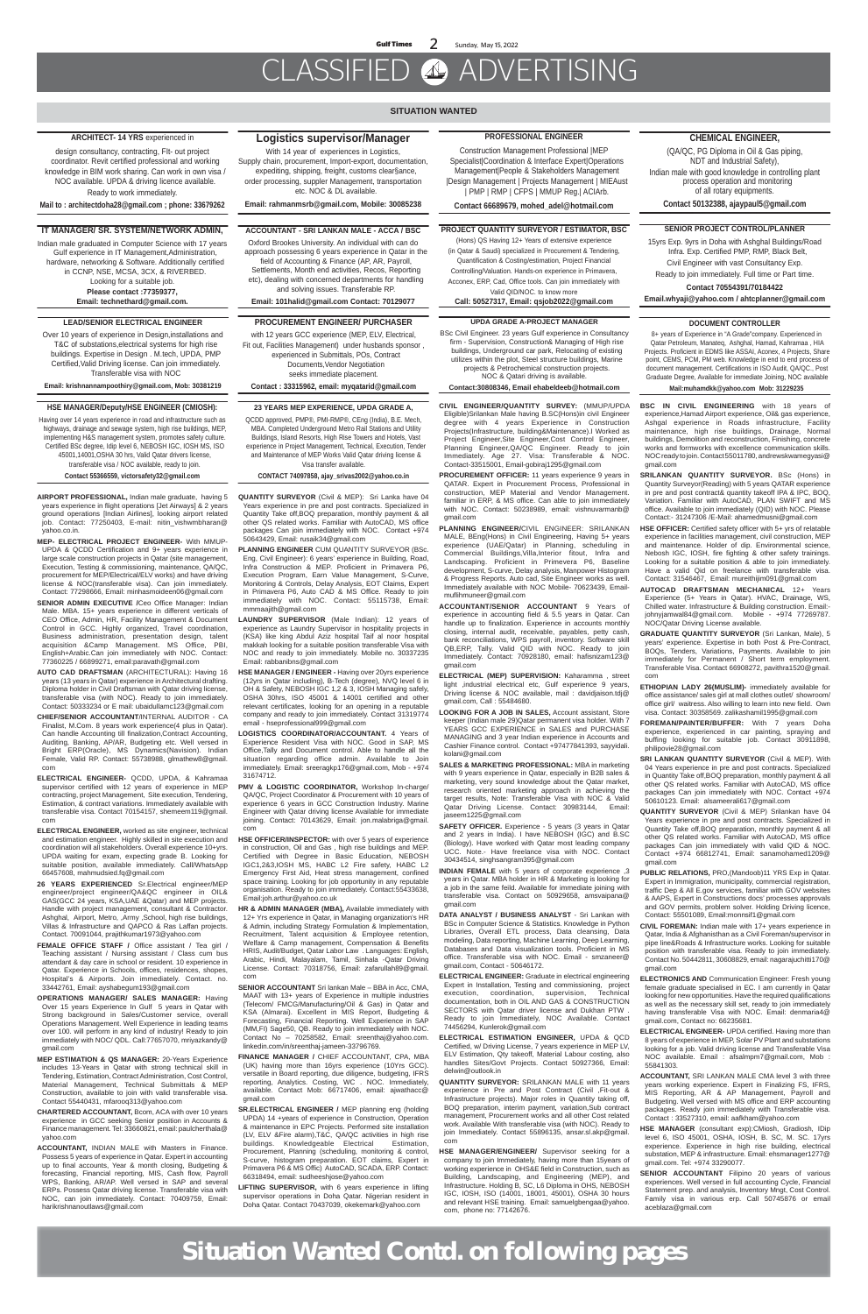**Situation Wanted Contd. on following pages**

#### **SITUATION WANTED**

#### **CHEMICAL ENGINEER,**

(QA/QC, PG Diploma in Oil & Gas piping, NDT and Industrial Safety), Indian male with good knowledge in controlling plant process operation and monitoring of all rotary equipments.

**Contact 50132388, ajaypaul5@gmail.com**

#### **ACCOUNTANT - SRI LANKAN MALE - ACCA / BSC**

Oxford Brookes University. An individual with can do approach possessing 6 years experience in Qatar in the field of Accounting & Finance (AP, AR, Payroll, Settlements, Month end activities, Recos, Reporting etc), dealing with concerned departments for handling and solving issues. Transferable RP.

**Email: 101halid@gmail.com Contact: 70129077**

#### **SENIOR PROJECT CONTROL/PLANNER**

15yrs Exp. 9yrs in Doha with Ashghal Buildings/Road Infra. Exp. Certified PMP, RMP, Black Belt, Civil Engineer with vast Consultancy Exp.

Ready to join immediately. Full time or Part time.

**Contact 70554391/70184422** 

**Email.whyaji@yahoo.com / ahtcplanner@gmail.com**

#### **ARCHITECT- 14 YRS** experienced in

design consultancy, contracting, FIt- out project coordinator. Revit certified professional and working knowledge in BIM work sharing. Can work in own visa / NOC available. UPDA & driving licence available. Ready to work immediately.

**Mail to : architectdoha28@gmail.com ; phone: 33679262**

#### **IT MANAGER/ SR. SYSTEM/NETWORK ADMIN,**

Indian male graduated in Computer Science with 17 years Gulf experience in IT Management,Administration, hardware, networking & Software. Additionally certified in CCNP, NSE, MCSA, 3CX, & RIVERBED. Looking for a suitable job. **Please contact :77359377,** 

**Email: technethard@gmail.com.**

#### **PROJECT QUANTITY SURVEYOR / ESTIMATOR, BSC**

(Hons) QS Having 12+ Years of extensive experience (in Qatar & Saudi) specialized in Procurement & Tendering, Quantification & Costing/estimation, Project Financial Controlling/Valuation. Hands-on experience in Primavera, Acconex, ERP, Cad, Office tools. Can join immediately with Valid QID/NOC. to know more

**SENIOR ADMIN EXECUTIVE / Ceo Office Manager: Indian** Male. MBA. 15+ years experience in different verticals of CEO Office, Admin, HR, Facility Management & Document Control in GCC. Highly organized, Travel coordination, Business administration, presentation design, talent acquisition &Camp Management. MS Office, PBI, English+Arabic.Can join immediately with NOC. Contact: 77360225 / 66899271, email:paravath@gmail.com

**Call: 50527317, Email: qsjob2022@gmail.com**

#### **LEAD/SENIOR ELECTRICAL ENGINEER**

Over 10 years of experience in Design,installations and T&C of substations,electrical systems for high rise buildings. Expertise in Design . M.tech, UPDA, PMP Certified,Valid Driving license. Can join immediately. Transferable visa with NOC

**Email: krishnannampoothiry@gmail.com, Mob: 30381219**

#### **Logistics supervisor/Manager**

With 14 year of experiences in Logistics, Supply chain, procurement, Import-export, documentation, expediting, shipping, freight, customs clear§ance, order processing, suppler Management, transportation

etc. NOC & DL available.

**Email: rahmanmsrb@gmail.com, Mobile: 30085238**

#### **PROFESSIONAL ENGINEER**

Construction Management Professional |MEP Specialist|Coordination & Interface Expert|Operations Management|People & Stakeholders Management |Design Management | Projects Management | MIEAust | PMP | RMP | CFPS | MMUP Reg.| ACIArb.

**Contact 66689679, mohed\_adel@hotmail.com**

**AIRPORT PROFESSIONAL,** Indian male graduate, having 5 years experience in flight operations [Jet Airways] & 2 years ground operations [Indian Airlines], looking airport related job. Contact: 77250403, E-mail: nitin\_vishwmbharan@ yahoo.co.in.

**MEP- ELECTRICAL PROJECT ENGINEER-** With MMUP-UPDA & QCDD Certification and 9+ years experience in large scale construction projects in Qatar (site management, Execution, Testing & commissioning, maintenance, QA/QC, procurement for MEP/Electrical/ELV works) and have driving license & NOC(transferable visa). Can join immediately. Contact: 77298666, Email: minhasmoideen06@gmail.com

**AUTO CAD DRAFTSMAN** (ARCHITECTURAL): Having 16 years (13 years in Qatar) experience in Architectural drafting. Diploma holder in Civil Draftsman with Qatar driving license, transferable visa (with NOC). Ready to join immediately. Contact: 50333234 or E mail: ubaidullamc123@gmail.com

**CHIEF/SENIOR ACCOUNTANT**/INTERNAL AUDITOR - CA Finalist, M.Com. 8 years work experience(4 plus in Qatar). Can handle Accounting till finalization,Contract Accounting, Auditing, Banking, AP/AR, Budgeting etc. Well versed in Bright ERP(Oracle), MS Dynamics(Navision). Indian Female, Valid RP. Contact: 55738988, glmathew8@gmail. com

> PMV & LOGISTIC COORDINATOR, Workshop In-charge, QA/QC, Project Coordinator & Procurement with 10 years of experience 6 years in GCC Construction Industry. Marine Engineer with Qatar driving license Available for immediate joining. Contact: 70143629, Email: jon.malabriga@gmail. com

**ELECTRICAL ENGINEER-** QCDD, UPDA, & Kahramaa supervisor certified with 12 years of experience in MEP contracting, project Management, Site execution, Tendering, Estimation, & contract variations. Immediately available with transferable visa. Contact 70154157, shemeem119@gmail. com

- **ELECTRICAL ENGINEER,** worked as site engineer, technical and estimation engineer. Highly skilled in site execution and coordination will all stakeholders. Overall experience 10+yrs. UPDA waiting for exam, expecting grade B. Looking for suitable position, available immediately. Call/WhatsApp 66457608, mahmudsied.fq@gmail.com
- **26 YEARS EXPERIENCED** Sr.Electrical engineer/MEP engineer/project engineer/QA&QC engineer in OIL& GAS(GCC 24 years, KSA,UAE &Qatar) and MEP projects. Handle with project management, consultant & Contractor. Ashghal, Airport, Metro, ,Army ,School, high rise buildings, Villas & Infrastructure and QAPCO & Ras Laffan projects. Contact. 70091044, prajithkumar1973@yahoo.com
- **FEMALE OFFICE STAFF /** Office assistant / Tea girl / Teaching assistant / Nursing assistant / Class cum bus attendant & day care in school or resident. 10 experience in Qatar. Experience in Schools, offices, residences, shopes, Hospital's & Airports. Join immediately. Contact. no. 33442761, Email: ayshabegum193@gmail.com

**OPERATIONS MANAGER/ SALES MANAGER:** Having Over 15 years Experience In Gulf 5 years in Qatar with Strong background in Sales/Customer service, overall Operations Management. Well Experience in leading teams over 100. will perform in any kind of industry! Ready to join immediately with NOC/ QDL. Call:77657070, mriyazkandy@ gmail.com

**MEP ESTIMATION & QS MANAGER:** 20-Years Experience includes 13-Years in Qatar with strong technical skill in Tendering, Estimation, Contract Administration, Cost Control, Material Management, Technical Submittals & MEP Construction, available to join with valid transferable visa. Contact 55440431, mfarooq313@yahoo.com

- **CHARTERED ACCOUNTANT,** Bcom, ACA with over 10 years experience in GCC seeking Senior position in Accounts & Finance management. Tel: 33660821, email: paulcherthala@ yahoo.com
- **ACCOUNTANT,** INDIAN MALE with Masters in Finance. Possess 5 years of experience in Qatar. Expert in accounting up to final accounts, Year & month closing, Budgeting & forecasting, Financial reporting, MIS, Cash flow, Payroll WPS, Banking, AR/AP. Well versed in SAP and several ERPs. Possess Qatar driving license. Transferable visa with NOC, can join immediately. Contact: 70409759, Email: harikrishnanoutlaws@gmail.com

**QUANTITY SURVEYOR** (Civil & MEP): Sri Lanka have 04 Years experience in pre and post contracts. Specialized in Quantity Take off,BOQ preparation, monthly payment & all other QS related works. Familiar with AutoCAD, MS office packages Can join immediately with NOC. Contact +974 50643429, Email: rusaik34@gmail.com

- **PLANNING ENGINEER** CUM QUANTITY SURVEYOR (BSc. Eng, Civil Engineer): 6 years' experience in Building, Road, Infra Construction & MEP. Proficient in Primavera P6, Execution Program, Earn Value Management, S-Curve, Monitoring & Controls, Delay Analysis, EOT Claims, Expert in Primavera P6, Auto CAD & MS Office. Ready to join immediately with NOC. Contact: 55115738, Email: mmmaajith@gmail.com
- **LAUNDRY SUPERVISOR** (Male Indian): 12 years of experience as Laundry Supervisor in hospitality projects in (KSA) like king Abdul Aziz hospital Taif al noor hospital makkah looking for a suitable position transferable Visa with NOC and ready to join immediately. Mobile no. 30337235 Email: rabbanibns@gmail.com
- **HSE MANAGER / ENGINEER -** Having over 20yrs experience (12yrs in Qatar including), B-Tech (degree), NVQ level 6 in OH & Safety, NEBOSH IGC 1,2 & 3, IOSH Managing safely, OSHA 30hrs, ISO 45001 & 14001 certified and other relevant certificates, looking for an opening in a reputable company and ready to join immediately. Contact 31319774 email - hseprofessional999@gmail.com
- **LOGISTICS COORDINATOR/ACCOUNTANT.** 4 Years of Experience Resident Visa with NOC. Good in SAP, MS Office,Tally and Document control. Able to handle all the situation regarding office admin. Available to Join immediately. Email: sreeragkp176@gmail.com, Mob - +974 31674712.

- **HSE OFFICER/INSPECTOR:** with over 5 years of experience in construction, Oil and Gas , high rise buildings and MEP. Certified with Degree in Basic Education, NEBOSH IGC1,2&3,IOSH MS, HABC L2 Fire safety, HABC L2 Emergency First Aid, Heat stress management, confined space training. Looking for job opportunity in any reputable organisation. Ready to join immediately. Contact:55433638, Email:joh.arthur@yahoo.co.uk
- **HR & ADMIN MANAGER (MBA),** Available immediately with 12+ Yrs experience in Qatar, in Managing organization's HR & Admin, including Strategy Formulation & Implementation, Recruitment, Talent acquisition & Employee retention, Welfare & Camp management, Compensation & Benefits HRIS, Audit/Budget, Qatar Labor Law . Languages: English, Arabic, Hindi, Malayalam, Tamil, Sinhala -Qatar Driving License. Contact: 70318756, Email: zafarullah89@gmail. com

**SRI LANKAN QUANTITY SURVEYOR (Civil & MEP). With** 04 Years experience in pre and post contracts. Specialized in Quantity Take off,BOQ preparation, monthly payment & all other QS related works. Familiar with AutoCAD, MS office packages Can join immediately with NOC. Contact +974 50610123. Email: alsameerali617@gmail.com

**SENIOR ACCOUNTANT** Sri lankan Male – BBA in Acc, CMA, MAAT with 13+ years of Experience in multiple industries (Telecom/ FMCG/Manufacturing/Oil & Gas) in Qatar and KSA (Almarai). Excellent in MIS Report, Budgeting & Forecasting, Financial Reporting. Well Experience in SAP (MM,FI) Sage50, QB. Ready to join immediately with NOC. Contact No – 70258582, Email: sreenthaj@yahoo.com. linkedin.com/in/sreenthaj-jameen-33796769.

- PUBLIC RELATIONS, PRO,(Mandoob)11 YRS Exp in Qatar. Expert in Immigration, municipality, commercial registration, traffic Dep & All E.gov services, familiar with GOV websites & AAPS, Expert in Constructions docs' processes approvals and GOV permits, problem solver. Holding Driving licence, Contact: 55501089, Email:monnsif1@gmail.com
- **CIVIL FOREMAN:** Indian male with 17+ years experience in Qatar, India & Afghanisthan as a Civil Foreman/supervisor in pipe line&Roads & Infrastructure works. Looking for suitable position with transferable visa. Ready to join immediately. Contact No. 50442811, 30608829, email: nagarajuchitti170@ gmail.com
- **ELECTRONICS AND** Communication Engineer: Fresh young female graduate specialised in EC. I am currently in Qatar looking for new opportunities. Have the required qualifications as well as the necessary skill set, ready to join immediately having transferable Visa with NOC. Email: denmaria4@ gmail.com, Contact no: 66235681.

- **FINANCE MANAGER /** CHIEF ACCOUNTANT, CPA, MBA (UK) having more than 16yrs experience (10Yrs GCC). versatile in Board reporting, due diligence, budgeting, IFRS reporting, Analytics. Costing, WC . NOC. Immediately, available. Contact Mob: 66717406, email: ajwathacc@ gmail.com
- **SR.ELECTRICAL ENGINEER /** MEP planning eng (holding UPDA) 14 +years of experience in Construction, Operation & maintenance in EPC Projects. Performed site installation (LV, ELV &Fire alarm),T&C, QA/QC activities in high rise buildings. Knowledgeable Electrical Estimation, Procurement, Planning (scheduling, monitoring & control, S-curve, histogram preparation. EOT claims, Expert in Primavera P6 & MS Offic) AutoCAD, SCADA, ERP. Contact: 66318494, email: sudheeshjose@yahoo.com
- **LIFTING SUPERVISOR,** with 6 years experience in lifting supervisor operations in Doha Qatar. Nigerian resident in Doha Qatar. Contact 70437039, okekemark@yahoo.com

#### **23 YEARS MEP EXPERIENCE, UPDA GRADE A,**

QCDD approved, PMP®, PMI-RMP®, CEng (India), B.E. Mech, MBA. Completed Underground Metro Rail Stations and Utility Buildings, Island Resorts, High Rise Towers and Hotels, Vast experience in Project Management, Technical, Execution, Tender and Maintenance of MEP Works Valid Qatar driving license & Visa transfer available.

**CONTACT 74097858, ajay\_srivas2002@yahoo.co.in**

#### **PROCUREMENT ENGINEER/ PURCHASER**

with 12 years GCC experience (MEP, ELV, Electrical, Fit out, Facilities Management) under husbands sponsor , experienced in Submittals, POs, Contract Documents,Vendor Negotiation seeks immediate placement.

**Contact : 33315962, email: myqatarid@gmail.com**

#### **UPDA GRADE A-PROJECT MANAGER**

BSc Civil Engineer. 23 years Gulf experience in Consultancy firm - Supervision, Construction& Managing of High rise buildings, Underground car park, Relocating of existing utilizes within the plot, Steel structure buildings, Marine projects & Petrochemical construction projects. NOC & Qatari driving is available.

#### **Contact:30808346, Email ehabeldeeb@hotmail.com**

#### **DOCUMENT CONTROLLER**

 8+ years of Experience in "A Grade"company. Experienced in Qatar Petroleum, Manateq, Ashghal, Hamad, Kahramaa , HIA Projects. Proficient in EDMS like ASSAI, Aconex, 4 Projects, Share point, CEMS, PCM, PM web. Knowledge in end to end process of document management. Certifications in ISO Audit, QA/QC., Post Graduate Degree, Available for immediate Joining, NOC available

#### **Mail:muhamdkk@yahoo.com Mob: 31229235**

#### **HSE MANAGER/Deputy/HSE ENGINEER (CMIOSH):**

Having over 14 years experience in road and infrastructure such as highways, drainage and sewage system, high rise buildings, MEP, implementing H&S management system, promotes safety culture. Certified BSc degree, Idip level 6, NEBOSH IGC, IOSH MS, ISO 45001,14001,OSHA 30 hrs, Valid Qatar drivers license, transferable visa / NOC available, ready to join. **Contact 55366559, victorsafety32@gmail.com**

**CIVIL ENGINEER/QUANTITY SURVEY:** (MMUP/UPDA Eligible)Srilankan Male having B.SC(Hons)in civil Engineer degree with 4 years Experience in Construction Projects(Infrastructure, building&Maintenance).I Worked as Project Engineer,Site Engineer,Cost Control Engineer, Planning Engineer,QA/QC Engineer. Ready to join Immediately. Age 27. Visa: Transferable & NOC. Contact-33515001, Email-gobiraj1295@gmail.com

**PROCUREMENT OFFICER:** 11 years experience 9 years in QATAR. Expert in Procurement Process, Professional in construction, MEP Material and Vendor Management. familiar in ERP, & MS office. Can able to join immediately with NOC. Contact: 50238989, email: vishnuvarmanb@ gmail.com

**PLANNING ENGINEER/**CIVIL ENGINEER: SRILANKAN MALE, BEng(Hons) in Civil Engineering, Having 5+ years experience (UAE/Qatar) in Planning, scheduling in Commercial Buildings, Villa, Interior fitout, Infra and Landscaping. Proficient in Primevera P6, Baseline development, S-curve, Delay analysis, Manpower Histogram & Progress Reports. Auto cad, Site Engineer works as well. Immediately available with NOC Mobile- 70623439, Emailmuflihmuneer@gmail.com

**ACCOUNTANT/SENIOR ACCOUNTANT** 9 Years of experience in accounting field & 5.5 years in Qatar. Can handle up to finalization. Experience in accounts monthly closing, internal audit, receivable, payables, petty cash, bank reconciliations, WPS payroll, inventory. Software skill QB,ERP, Tally. Valid QID with NOC. Ready to join Immediately. Contact: 70928180, email: hafisnizam123@ gmail.com

**ELECTRICAL (MEP) SUPERVISION:** Kaharamma , street light ,industrial electrical etc, Gulf experience 9 years, Driving license & NOC available, mail : davidjaison.tdj@ gmail.com, Call : 55484680.

**LOOKING FOR A JOB IN SALES,** Account assistant, Store keeper (Indian male 29)Qatar permanent visa holder. With 7 YEARS GCC EXPERIENCE in SALES and PURCHASE MANAGING and 3 year Indian experience in Accounts and Cashier Finance control. Contact +97477841393, sayyidali. kolani@gmail.com

**SALES & MARKETING PROFESSIONAL:** MBA in marketing with 9 years experience in Qatar, especially in B2B sales & marketing, very sound knowledge about the Qatar market, research oriented marketing approach in achieving the target results, Note: Transferable Visa with NOC & Valid Qatar Driving License. Contact: 30983144, Email: jaseem1225@gmail.com **SAFETY OFFICER.** Experience - 5 years (3 years in Qatar and 2 years in India). I have NEBOSH (IGC) and B.SC (Biology). Have worked with Qatar most leading company UCC. Note.- Have freelance visa with NOC. Contact 30434514, singhsangram395@gmail.com

- **INDIAN FEMALE** with 5 years of corporate experience ,3 years in Qatar. MBA holder in HR & Marketing is looking for a job in the same feild. Available for immediate joining with transferable visa. Contact on 50929658, amsvaipana@ gmail.com
- **DATA ANALYST / BUSINESS ANALYST**  Sri Lankan with BSc in Computer Science & Statistics. Knowledge in Python Libraries, Overall ETL process, Data cleansing, Data modeling, Data reporting, Machine Learning, Deep Learning, Databases and Data visualization tools. Proficient in MS office. Transferable visa with NOC. Email - smzaneer@ gmail.com, Contact - 50646172.

**ELECTRICAL ENGINEER:** Graduate in electrical engineering Expert in Installation, Testing and commissioning, project execution, coordination, supervision, Technical documentation, both in OIL AND GAS & CONSTRUCTION SECTORS with Qatar driver license and Dukhan PTW . Ready to join Immediately, NOC Available. Contact 74456294, Kunlerok@gmail.com

**ELECTRICAL ESTIMATION ENGINEER,** UPDA & QCD Certified, w/ Driving License, 7 years experience in MEP LV, ELV Estimation, Qty takeoff, Material Labour costing, also handles Sites/Govt Projects. Contact 50927366, Email: delwin@outlook.in

- **QUANTITY SURVEYOR:** SRILANKAN MALE with 11 years experience in Pre and Post Contract (Civil ,Fit-out & Infrastructure projects). Major roles in Quantity taking off, BOQ preparation, interim payment, variation,Sub contract management, Procurement works and all other Cost related work. Available With transferable visa (with NOC). Ready to join Immediately. Contact 55896135, ansar.sl.akp@gmail. com
- **HSE MANAGER/ENGINEER/** Supervisor seeking for a company to join Immediately, having more than 15years of working experience in OHS&E field in Construction, such as Building, Landscaping, and Engineering (MEP), and Infrastructure. Holding B, SC, L6 Diploma in OHS, NEBOSH IGC, IOSH, ISO (14001, 18001, 45001), OSHA 30 hours and relevant HSE training. Email: samuelgbengaa@yahoo. com, phone no: 77142676.

**BSC IN CIVIL ENGINEERING** with 18 years of experience,Hamad Airport experience, Oil& gas experience, Ashgal experience in Roads infrastructure, Facility maintenance, high rise buildings, Drainage, Normal buildings, Demolition and reconstruction, Finishing, concrete works and formworks with excellence communication skills. NOC ready to join. Contact 55011780, andrewskwamegyasi@ gmail.com

**SRILANKAN QUANTITY SURVEYOR.** BSc (Hons) in Quantity Surveyor(Reading) with 5 years QATAR experience in pre and post contract& quantity takeoff IPA & IPC, BOQ, Variation. Familiar with AutoCAD, PLAN SWIFT and MS office. Available to join immediately (QID) with NOC. Please Contact:- 31247306 /E-Mail: ahamedmusni@gmail.com

**HSE OFFICER:** Certified safety officer with 5+ yrs of relatable experience in facilities management, civil construction, MEP and maintenance. Holder of dip. Environmental science, Nebosh IGC, IOSH, fire fighting & other safety trainings. Looking for a suitable position & able to join immediately. Have a valid Qid on freelance with transferable visa. Contact: 31546467, Email: mureithijim091@gmail.com

**AUTOCAD DRAFTSMAN MECHANICAL** 12+ Years Experience (5+ Years in Qatar). HVAC, Drainage, WS, Chilled water. Infrastructure & Building construction. Email: johnyjamwal84@gmail.com. Mobile - +974 77269787. NOC/Qatar Driving License available.

**GRADUATE QUANTITY SURVEYOR** (Sri Lankan, Male), 5 years' experience. Expertise in both Post & Pre-Contract, BOQs, Tenders, Variations, Payments. Available to join immediately for Permanent / Short term employment. Transferable Visa. Contact 66908272, pavithra1520@gmail. com

**ETHIOPIAN LADY 26(MUSLIM)-** immediately available for office assistance/ sales girl at mall clothes outlet/ showroom/ office girl/ waitress. Also willing to learn into new field. Own visa. Contact: 30358569. zalikashamil1995@gmail.com

**FOREMAN/PAINTER/BUFFER:** With 7 years Doha experience, experienced in car painting, spraying and buffing looking for suitable job. Contact 30911898, philipovie28@gmail.com

**QUANTITY SURVEYOR** (Civil & MEP) Srilankan have 04 Years experience in pre and post contracts. Specialized in Quantity Take off,BOQ preparation, monthly payment & all other QS related works. Familiar with AutoCAD, MS office packages Can join immediately with valid QID & NOC. Contact +974 66812741, Email: sanamohamed1209@ gmail.com

**ELECTRICAL ENGINEER-** UPDA certified. Having more than 8 years of experience in MEP, Solar PV Plant and substations looking for a job. Valid driving license and Transferable Visa NOC available. Email : afsalmpm7@gmail.com, Mob : 55841303.

- **ACCOUNTANT,** SRI LANKAN MALE CMA level 3 with three years working experience. Expert in Finalizing FS, IFRS, MIS Reporting, AR & AP Management, Payroll and Budgeting. Well versed with MS office and ERP accounting packages. Ready join immediately with Transferable visa. Contact : 33527310, email: aafkham@yahoo.com
- **HSE MANAGER** (consultant exp):CMiosh, Gradiosh, IDip level 6, ISO 45001, OSHA, IOSH, B. SC, M. SC. 17yrs experience. Experience in high rise building, electrical substation, MEP & infrastructure. Email: ehsmanager1277@ gmail.com. Tel: +974 33290077.
- **SENIOR ACCOUNTANT** Filipino 20 years of various experiences. Well versed in full accounting Cycle, Financial Statement prep. and analysis, Inventory Mngt, Cost Control. Family visa in various erp. Call 50745876 or email aceblaza@gmail.com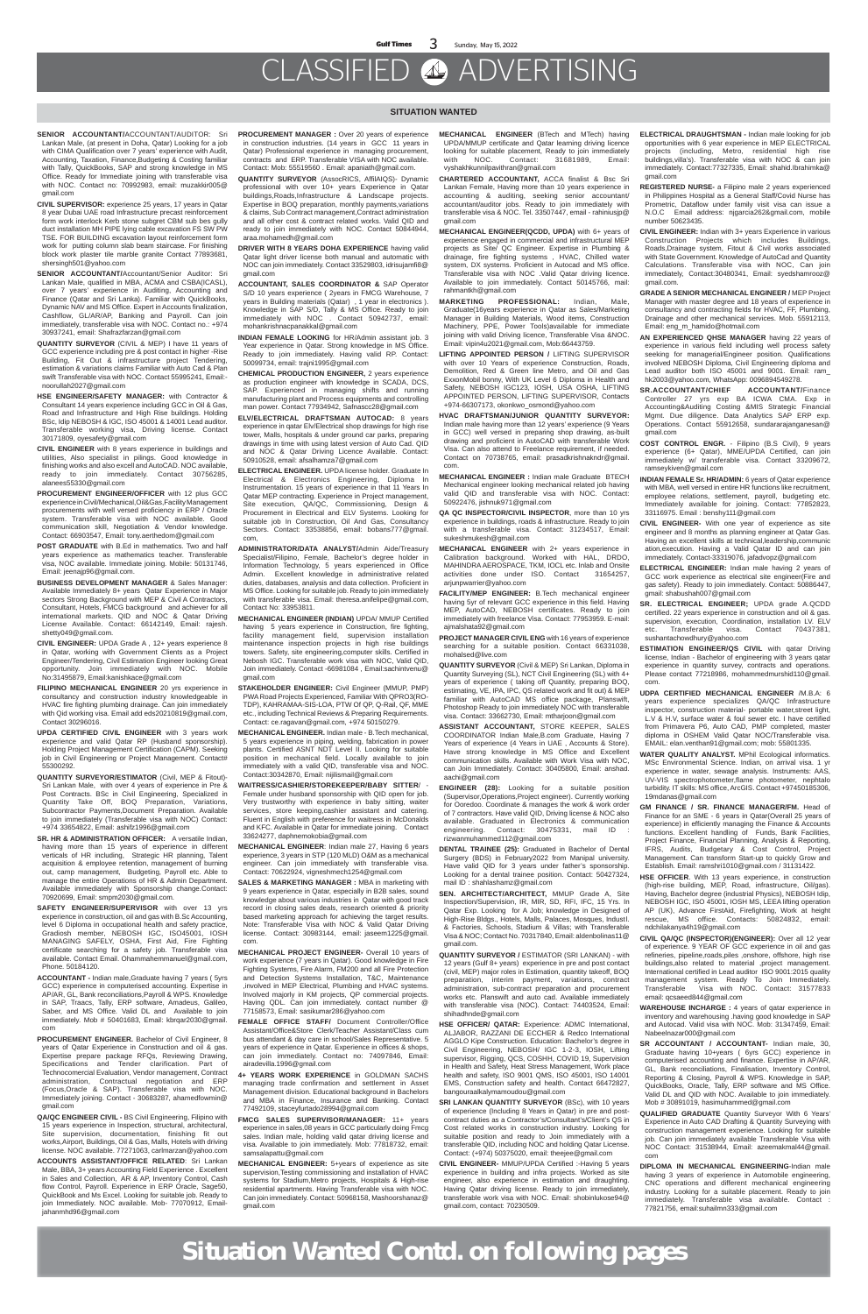#### **SITUATION WANTED**

**SENIOR ACCOUNTANT/**ACCOUNTANT/AUDITOR: Sri Lankan Male, (at present in Doha, Qatar) Looking for a job with CIMA Qualification over 7 years' experience with Audit, Accounting, Taxation, Finance,Budgeting & Costing familiar with Tally, QuickBooks, SAP and strong knowledge in MS Office. Ready for Immediate joining with transferable visa with NOC. Contact no: 70992983, email: muzakkir005@ gmail.com

**CIVIL SUPERVISOR:** experience 25 years, 17 years in Qatar 8 year Dubai UAE road Infrastructure precast reinforcement form work interlock Kerb stone subgret CBM sub bes gully duct installation MH PIPE lying cable excavation FS SW PW TSE. FOR BUILDING excavation layout reinforcement form work for putting column slab beam staircase. For finishing block work plaster tile marble granite Contact 77893681, shersingh501@yahoo.com

**SENIOR ACCOUNTANT/**Accountant/Senior Auditor: Sri Lankan Male, qualified in MBA, ACMA and CSBA(ICASL), over 7 years' experience in Auditing, Accounting and Finance (Qatar and Sri Lanka). Familiar with QuickBooks, Dynamic NAV and MS Office. Expert in Accounts finalization, Cashflow, GL/AR/AP, Banking and Payroll. Can join immediately, transferable visa with NOC. Contact no.: +974 30937241, email: Shafrazfarzan@gmail.com

**QUANTITY SURVEYOR** (CIVIL & MEP) I have 11 years of GCC experience including pre & post contact in higher -Rise Building, Fit Out & infrastructure project Tendering, estimation & variations claims Familiar with Auto Cad & Plan swift Transferable visa with NOC. Contact 55995241, Email: noorullah2027@gmail.com

- **HSE ENGINEER/SAFETY MANAGER:** with Contractor & Consultant 14 years experience including GCC in Oil & Gas, Road and Infrastructure and High Rise buildings. Holding BSc, Idip NEBOSH & IGC, ISO 45001 & 14001 Lead auditor. Transferable working visa, Driving license. Contact 30171809, oyesafety@gmail.com
- **CIVIL ENGINEER** with 8 years experience in buildings and utilities, Also specialist in pilings. Good knowledge in finishing works and also excell and AutoCAD. NOC available, ready to join immediately. Contact 30756285, alanees55330@gmail.com
- **PROCUREMENT ENGINEER/OFFICER** with 12 plus GCC experience in Civil/Mechanical,Oil&Gas,Facility Management procurements with well versed proficiency in ERP / Oracle system. Transferable visa with NOC available. Good communication skill, Negotiation & Vendor knowledge. Contact: 66903547, Email: tony.aerthedom@gmail.com
- **POST GRADUATE** with B.Ed in mathematics. Two and half years experience as mathematics teacher. Transferable visa, NOC available. Immediate joining. Mobile: 50131746, Email: jeenajp96@gmail.com.
- **BUSINESS DEVELOPMENT MANAGER** & Sales Manager: Available Immediately 8+ years Qatar Experience in Major sectors Strong Background with MEP & Civil A Contractors, Consultant, Hotels, FMCG background and achiever for all international markets. QID and NOC & Qatar Driving License Available. Contact: 66142149, Email: rajesh. shetty049@gmail.com.
- **CIVIL ENGINEER:** UPDA Grade A , 12+ years experience 8 in Qatar, working with Government Clients as a Project Engineer/Tendering, Civil Estimation Engineer looking Great opportunity. Join immediately with NOC. Mobile No:31495879, Email:kanishkace@gmail.com
- **FILIPINO MECHANICAL ENGINEER** 20 yrs experience in consultancy and construction industry knowledgeable in HVAC fire fighting plumbing drainage. Can join immediately with Qid working visa. Email add eds20210819@gmail.com, Contact 30296016.
- **UPDA CERTIFIED CIVIL ENGINEER** with 3 years work experience and valid Qatar RP (Husband sponsorship). Holding Project Management Certification (CAPM). Seeking job in Civil Engineering or Project Management. Contact# 55300292.
- **QUANTITY SURVEYOR/ESTIMATOR** (Civil, MEP & Fitout)- Sri Lankan Male, with over 4 years of experience in Pre &
- **PROCUREMENT MANAGER :** Over 20 years of experience in construction industries. (14 years in GCC 11 years in Qatar) Professional experience in managing procurement, contracts and ERP. Transferable VISA with NOC available. Contact: Mob: 55519560 . Email: apaniath@gmail.com.
- **QUANTITY SURVEYOR** (AssocRICS, AffilAIQS)- Dynamic professional with over 10+ years Experience in Qatar buildings,Roads,Infrastructure & Landscape projects. Expertise in BOQ preparation, monthly payments,variations & claims, Sub Contract management,Contract administration and all other cost & contract related works. Valid QID and ready to join immediately with NOC. Contact 50844944, araa.mohamedh@gmail.com
- **DRIVER WITH 8 YEARS DOHA EXPERIENCE** having valid Qatar light driver license both manual and automatic with NOC can join immediately. Contact 33529803, idrisujamfi8@ gmail.com
- **ACCOUNTANT, SALES COORDINATOR &** SAP Operator S/D 10 years experience ( 2years in FMCG Warehouse, 7 years in Building materials (Qatar) , 1 year in electronics ). Knowledge in SAP S/D, Tally & MS Office. Ready to join immediately with NOC . Contact 50942737, email: mohankrishnacpanakkal@gmail.com
- **INDIAN FEMALE LOOKING** for HR/Admin assistant job. 3 Year experience in Qatar. Strong knowledge in MS Office. Ready to join immediately. Having valid RP. Contact: 50099734, email: trajni1995@gmail.com
- **CHEMICAL PRODUCTION ENGINEER,** 2 years experience as production engineer with knowledge in SCADA, DCS, SAP. Experienced in managing shifts and running manufacturing plant and Process equipments and controlling man power. Contact 77934942, Safnascc28@gmail.com
- **ELV/ELECTRICAL DRAFTSMAN AUTOCAD:** 8 years experience in qatar Elv/Electrical shop drawings for high rise tower, Malls, hospitals & under ground car parks, preparing drawings in time with using latest version of Auto Cad. QID and NOC & Qatar Driving Licence Available. Contact: 50910528, email: afsalhamza7@gmail.com
- **ELECTRICAL ENGINEER.** UPDA license holder. Graduate In Electrical & Electronics Engineering, Diploma In Instrumentation. 15 years of experience in that 11 Years In Qatar MEP contracting. Experience in Project management, Site execution, QA/QC, Commissioning, Design & Procurement in Electrical and ELV Systems. Looking for suitable job In Construction, Oil And Gas, Consultancy Sectors. Contact: 33538856, email: bobans777@gmail. com,
- **ADMINISTRATOR/DATA ANALYST/**Admin Aide/Treasury Specialist/Filipino, Female, Bachelor's degree holder in Information Technology, 5 years experienced in Office Admin. Excellent knowledge in administrative related duties, databases, analysis and data collection. Proficient in MS Office. Looking for suitable job. Ready to join immediately with transferable visa. Email: theresa.anifelipe@gmail.com, Contact No: 33953811.
- **MECHANICAL ENGINEER (INDIAN)** UPDA/ MMUP Certified having 5 years experience in Construction, fire fighting, facility management field, supervision installation maintenance inspection projects in high rise buildings towers. Safety, site engineering,computer skills. Certified in Nebosh IGC. Transferable work visa with NOC, Valid QID, Join immediately. Contact -66981084 , Email:sachintvenu@ gmail.com
- **STAKEHOLDER ENGINEER:** Civil Engineer (MMUP, PMP) PWA Road Projects Experienced, Familiar With QPRO3(RO-TDP), KAHRAMAA-SIS-LOA, PTW Of QP, Q-Rail, QF, MME etc., including Technical Reviews & Preparing Requirements. Contact: ce.ragavan@gmail.com, +974 50150279.
- **MECHANICAL ENGINEER.** Indian male B.Tech mechanical, 5 years experience in piping, welding, fabrication in power plants. Certified ASNT NDT Level II. Looking for suitable position in mechanical field. Locally available to join immediately with a valid QID, transferable visa and NOC. Contact:30342870, Email: nijilismail@gmail.com
- **WAITRESS/CASHIER/STOREKEEPER/BABY SI**

Post Contracts. BSc in Civil Engineering, Specialized in Quantity Take Off, BOQ Preparation, Variations, Subcontractor Payments,Document Preparation. Available to join immediately (Transferable visa with NOC) Contact: +974 33654822, Email: ashifz1996@gmail.com

**SR. HR & ADMINISTRATION OFFICER:** A versatile Indian, having more than 15 years of experience in different verticals of HR including, Strategic HR planning, Talent acquisition & employee retention, management of burning out, camp management, Budgeting, Payroll etc. Able to manage the entire Operations of HR & Admin Department. Available immediately with Sponsorship change.Contact: 70920699, Email: smpm2030@gmail.com.

**SAFETY ENGINEER/SUPERVISOR** with over 13 yrs experience in construction, oil and gas with B.Sc Accounting, level 6 Diploma in occupational health and safety practice, Gradiosh member, NEBOSH IGC, ISO45001, IOSH MANAGING SAFELY, OSHA, First Aid, Fire Fighting certificate searching for a safety job. Transferable visa available. Contact Email. Ohammahemmanuel@gmail.com, Phone. 50184120.

**ACCOUNTANT -** Indian male,Graduate having 7 years ( 5yrs GCC) experience in computerised accounting. Expertise in AP/AR, GL, Bank reconciliations,Payroll & WPS. Knowledge in SAP, Traacs, Tally, ERP software, Amadeus, Galileo, Saber, and MS Office. Valid DL and Available to join immediately. Mob # 50401683, Email: kbrqar2030@gmail. com

**PROCUREMENT ENGINEER.** Bachelor of Civil Engineer, 8 years of Qatar Experience in Construction and oil & gas. Expertise prepare package RFQs, Reviewing Drawing, Specifications and Tender clarification. Part of Technocomercial Evaluation, Vendor management, Contract administration, Contractual negotiation and ERP (Focus,Oracle & SAP). Transferable visa with NOC. Immediately joining. Contact - 30683287, ahamedfowmin@ gmail.com

**QA/QC ENGINEER CIVIL -** BS Civil Engineering, Filipino with 15 years experience in Inspection, structural, architectural, Site supervision, documentation, finishing fit out works,Airport, Buildings, Oil & Gas, Malls, Hotels with driving license. NOC available. 77271063, carlmarzan@yahoo.com

**ACCOUNTS ASSISTANT/OFFICE RELATED**: Sri Lankan Male, BBA, 3+ years Accounting Field Experience . Excellent in Sales and Collection, AR & AP, Inventory Control, Cash flow Control, Payroll. Experience in ERP Oracle, Sage50, QuickBook and Ms Excel. Looking for suitable job. Ready to join Immediately. NOC available. Mob- 77070912, Emailjahanmhd96@gmail.com

**SRI LANKAN QUANTITY SURVEYOR (BSc), with 10 years** of experience (Including 8 Years in Qatar) in pre and postcontract duties as a Contractor's/Consultant's/Client's QS in Cost related works in construction industry. Looking for suitable position and ready to Join immediately with a transferable QID, including NOC and holding Qatar License. Contact: (+974) 50375020, email: theejee@gmail.com

Female under husband sponsorship with QID open for job. Very trustworthy with experience in baby sitting, waiter services, store keeping,cashier assistant and catering. Fluent in English with preference for waitress in McDonalds and KFC. Available in Qatar for immediate joining. Contact 33624277, daphnemokobia@gmail.com

**MECHANICAL ENGINEER**: Indian male 27, Having 6 years experience, 3 years in STP (120 MLD) O&M as a mechanical engineer. Can join immediately with transferable visa. Contact: 70622924, vigneshmech1254@gmail.com

**SALES & MARKETING MANAGER :** MBA in marketing with 9 years experience in Qatar, especially in B2B sales, sound knowledge about various industries in Qatar with good track record in closing sales deals, research oriented & priority based marketing approach for achieving the target results. Note: Transferable Visa with NOC & Valid Qatar Driving license. Contact: 30983144, email: jaseem1225@gmail. com.

**MECHANICAL PROJECT ENGINEER-** Overall 10 years of work experience (7 years in Qatar). Good knowledge in Fire Fighting Systems, Fire Alarm, FM200 and all Fire Protection and Detection Systems Installation, T&C, Maintenance ,involved in MEP Electrical, Plumbing and HVAC systems. Involved majorly in KM projects, QP commercial projects. Having QDL. Can join immediately. contact number @ 77158573, Email: sasikumar286@yahoo.com

**FEMALE OFFICE STAFF/** Document Controller/Office Assistant/Office&Store Clerk/Teacher Assistant/Class cum bus attendant & day care in school/Sales Representative. 5 years of experience in Qatar. Experience in offices & shops, can join immediately. Contact no: 74097846, Email: airadevilla.1996@gmail.com

**4+ YEARS WORK EXPERIENCE** in GOLDMAN SACHS managing trade confirmation and settlement in Asset Management division. Educational background in Bachelors and MBA in Finance, Insurance and Banking. Contact 77492109, staceyfurtado28994@gmail.com

SR ACCOUNTANT / ACCOUNTANT- Indian male, 30, Graduate having 10+years ( 6yrs GCC) experience in computerised accounting and finance. Expertise in AP/AR, GL, Bank reconciliations, Finalisation, Inventory Control, Reporting & Closing, Payroll & WPS. Knowledge in SAP, QuickBooks, Oracle, Tally, ERP software and MS Office. Valid DL and QID with NOC. Available to join immediately. Mob # 30891019, hasimuhammed@gmail.com

**FMCG SALES SUPERVISOR/MANAGER:** 11+ years experience in sales,08 years in GCC particularly doing Fmcg sales. Indian male, holding valid qatar driving license and visa. Available to join immediately. Mob: 77818732, email: samsalapattu@gmail.com

**MECHANICAL ENGINEER:** 5+years of experience as site supervision,Testing commissioning and installation of HVAC systems for Stadium,Metro projects, Hospitals & High-rise residential apartments. Having Transferable visa with NOC. Can join immediately. Contact: 50968158, Mashoorshanaz@ gmail.com

- **MECHANICAL ENGINEER** (BTech and MTech) having UPDA/MMUP certificate and Qatar learning driving licence looking for suitable placement, Ready to join immediately with NOC. Contact: 31681989, Email: vyshakhkunnilpavithran@gmail.com
- **CHARTERED ACCOUNTANT,** ACCA finalist & Bsc Sri Lankan Female, Having more than 10 years experience in accounting & auditing, seeking senior accountant/ accountant/auditor jobs. Ready to join immediately with transferable visa & NOC. Tel. 33507447, email - rahiniusjp@ gmail.com
- **MECHANICAL ENGINEER(QCDD, UPDA)** with 6+ years of experience engaged in commercial and infrastructural MEP projects as Site/ QC Engineer. Expertise in Plumbing & drainage, fire fighting systems , HVAC, Chilled water system, DX systems. Proficient in Autocad and MS office. Transferable visa with NOC .Valid Qatar driving licence. Available to join immediately. Contact 50145766, mail: rahmantkh@gmail.com
- **MARKETING PROFESSIONAL:** Indian, Male, Graduate(16years experience in Qatar as Sales/Marketing Manager in Building Materials, Wood items, Construction Machinery, PPE, Power Tools)available for immediate joining with valid Driving licence, Transferable Visa &NOC. Email: vipin4u2021@gmail.com, Mob:66443759.
- **LIFTING APPOINTED PERSON /** LIFTING SUPERVISOR with over 10 Years of experience Construction, Roads, Demolition, Red & Green line Metro, and Oil and Gas ExxonMobil bonny, With UK Level 6 Diploma in Health and Safety, NEBOSH IGC123, IOSH, USA OSHA, LIFTING APPOINTED PERSON, LIFTING SUPERVISOR, Contacts +974-66307173, okonkwo\_osmond@yahoo.com
- **HVAC DRAFTSMAN/JUNIOR QUANTITY SURVEYOR:** Indian male having more than 12 years' experience (9 Years in GCC) well versed in preparing shop drawing, as-built drawing and proficient in AutoCAD with transferable Work Visa. Can also attend to Freelance requirement, if needed. Contact on 70738765, email: prasadkrishnakndr@gmail. com.
- **MECHANICAL ENGINEER :** Indian male Graduate BTECH Mechanical engineer looking mechanical related job having valid QID and transferable visa with NOC. Contact: 50922476, jishnuk971@gmail.com
- **QA QC INSPECTOR/CIVIL INSPECTOR**, more than 10 yrs experience in buildings, roads & infrastructure. Ready to join with a transferable visa. Contact: 31234517, Email: sukeshmukesh@gmail.com
- **MECHANICAL ENGINEER** with 2+ years experience in Calibration background. Worked with HAL, DRDO, MAHINDRA AEROSPACE, TKM, IOCL etc. Inlab and Onsite activities done under ISO. Contact 31654257, arjunpwarrier@yahoo.com
- **FACILITY/MEP ENGINEER:** B.Tech mechanical engineer having 5yr of relevant GCC experience in this field. Having MEP, AutoCAD, NEBOSH certificates. Ready to join immediately with freelance Visa. Contact: 77953959. E-mail: ajmalshata92@gmail.com
- **PROJECT MANAGER CIVIL ENG** with 16 years of experience searching for a suitable position. Contact 66331038, mohalsed@live.com
- **QUANTITY SURVEYOR** (Civil & MEP) Sri Lankan, Diploma in Quantity Surveying (SL), NCT Civil Engineering (SL) with 4+ years of experience ( taking off Quantity, preparing BOQ, estimating, VE, IPA, IPC, QS related work and fit out) & MEP familiar with AutoCAD MS office package, Planswift, Photoshop Ready to join immediately NOC with transferable visa. Contact: 33662730, Email: mtharjoon@gmail.com
- **ASSISTANT ACCOUNTANT,** STORE KEEPER, SALES COORDINATOR Indian Male,B.com Graduate, Having 7 Years of experience (4 Years in UAE , Accounts & Store). Have strong knowledge in MS Office and Excellent communication skills. Available with Work Visa with NOC, can Join Immediately. Contact: 30405800, Email: anshad. aachi@gmail.com
- 

**ENGINEER (28):** Looking for a suitable position (Supervisor,Operations,Project engineer). Currently working for Ooredoo. Coordinate & manages the work & work order of 7 contractors. Have valid QID, Driving license & NOC also available. Graduated in Electronics & communication engineering. Contact: 30475331, mail ID rizwanmuhammed112@gmail.com

**DENTAL TRAINEE (25):** Graduated in Bachelor of Dental Surgery (BDS) in February2022 from Manipal university. Have valid QID for 3 years under father's sponsorship. Looking for a dental trainee position. Contact: 50427324, mail ID : shahlashamz@gmail.com

**SEN. ARCHITECT/ARCHITECT,** MMUP Grade A, Site Inspection/Supervision, IR, MIR, SD, RFI, IFC, 15 Yrs. In Qatar Exp. Looking for A Job; knowledge in Designed of High-Rise Bldgs., Hotels, Malls, Palaces, Mosques, Indust l. & Factories, Schools, Stadium & Villas; with Transferable Visa & NOC; Contact No. 70317840, Email: aldenbolinas11@ gmail.com.

**QUANTITY SURVEYOR /** ESTIMATOR (SRI LANKAN) - with 12 years (Gulf 8+ years) experience in pre and post contact (civil, MEP) major roles in Estimation, quantity takeoff, BOQ preparation, interim payment, variations, contract administration, sub-contract preparation and procurement works etc. Planswift and auto cad. Available immediately with transferable visa (NOC). Contact: 74403524, Email: shihadhnde@gmail.com

**HSE OFFICER/ QATAR:** Experience: ADMC International, ALJABOR, RAZZANI DE ECCHER & Redco International AGGLO Kipe Construction. Education: Bachelor's degree in Civil Engineering, NEBOSH/ IGC 1-2-3, IOSH, Lifting supervisor, Rigging, QCS, COSHH, COVID 19, Supervision in Health and Safety, Heat Stress Management, Work place health and safety, ISO 9001 QMS, ISO 45001, ISO 14001 EMS, Construction safety and health. Contact 66472827, bangouraalkalymamoudou@gmail.com

**CIVIL ENGINEER-** MMUP/UPDA Certified :-Having 5 years experience in building and infra projects. Worked as site engineer, also experience in estimation and draughting. Having Qatar driving license. Ready to join immediately, transferable work visa with NOC. Email: shobinlukose94@ gmail.com, contact: 70230509.

- **ELECTRICAL DRAUGHTSMAN -** Indian male looking for job opportunities with 6 year experience in MEP ELECTRICAL projects (including, Metro, residential high rise buildings,villa's). Transferable visa with NOC & can join immediately. Contact:77327335, Email: shahid.Ibrahimka@ gmail.com
- **REGISTERED NURSE-** a Filipino male 2 years experienced in Philippines Hospital as a General Staff/Covid Nurse has Prometric, Dataflow under family visit visa can issue a N.O.C Email address: njgarcia262&gmail.com, mobile number 50623435.
- **CIVIL ENGINEER:** Indian with 3+ years Experience in various Construction Projects which includes Buildings, Roads,Drainage system, Fitout & Civil works associated with State Government. Knowledge of AutoCad and Quantity Calculations. Transferable visa with NOC, Can join immediately, Contact:30480341, Email: syedshamrooz@ gmail.com.
- **GRADE A SENIOR MECHANICAL ENGINEER /** MEP Project Manager with master degree and 18 years of experience in consultancy and contracting fields for HVAC, FF, Plumbing, Drainage and other mechanical services. Mob. 55912113, Email: eng\_m\_hamido@hotmail.com
- **AN EXPERIENCED QHSE MANAGER** having 22 years of experience in various field including well process safety seeking for managerial/Engineer position. Qualifications involved NEBOSH Diploma, Civil Engineering diploma and Lead auditor both ISO 45001 and 9001. Email: ram\_ hk2003@yahoo.com, WhatsApp: 0096894549278.
- **SR.ACCOUNTANT/CHIEF ACCOUNTANT/**Finance Controller 27 yrs exp BA ICWA CMA. Exp in Accounting&Auditing Costing &MIS Strategic Financial Mgmt. Due diligence. Data Analytics SAP ERP exp. Operations. Contact 55912658, sundararajanganesan@ gmail.com
- **COST CONTROL ENGR.**  Filipino (B.S Civil), 9 years experience (6+ Qatar), MME/UPDA Certified, can join immediately w/ transferable visa. Contact 33209672, ramseykiven@gmail.com
- **INDIAN FEMALE Sr. HR/ADMIN:** 6 years of Qatar experience with MBA, well versed in entire HR functions like recruitment, employee relations, settlement, payroll, budgeting etc. Immediately available for joining. Contact: 77852823, 33116975. Email : benshy111@gmail.com
- **CIVIL ENGINEER-** With one year of experience as site engineer and 8 months as planning engineer at Qatar Gas. Having an excellent skills at technical,leadership,communic ation,execution. Having a Valid Qatar ID and can join immediately. Contact-33319076, jafadvopz@gmail.com
- **ELECTRICAL ENGINEER:** Indian male having 2 years of GCC work experience as electrical site engineer(Fire and gas safety). Ready to join immediately. Contact: 50886447, gmail: shabushah007@gmail.com
- **SR. ELECTRICAL ENGINEER;** UPDA grade A.QCDD certified. 22 years experience in construction and oil & gas. supervision, execution, Coordination, installation LV. ELV etc. Transferable visa. Contact 70437381, sushantachowdhury@yahoo.com
- **ESTIMATION ENGINEER/QS CIVIL with gatar Driving** license, Indian - Bachelor of engineering with 3 years qatar experience in quantity survey, contracts and operations. Please contact 77218986, mohammedmurshid110@gmail. com.
- **UDPA CERTIFIED MECHANICAL ENGINEER** /M.B.A: 6 years experience specializes QA/QC Infrastructure inspector, construction material- portable water,street light, L.V & H.V, surface water & foul sewer etc. I have certified from Primavera P6, Auto CAD, PMP completed, master diploma in OSHEM Valid Qatar NOC/Transferable visa. EMAIL: elan.venthan91@gmail.com; mob: 55801335.
- **WATER QUALITY ANALYST.** MPhil Ecological informatics. MSc Environmental Science. Indian, on arrival visa. 1 yr experience in water, sewage analysis. Instruments: AAS, UV-VIS spectrophotometer,flame photometer, nephtalo

turbidity. IT skills: MS office, ArcGIS. Contact +97450185306, 19mdanas@gmail.com

**GM FINANCE / SR. FINANCE MANAGER/FM.** Head of Finance for an SME - 6 years in Qatar(Overall 25 years of experience) in efficiently managing the Finance & Accounts functions. Excellent handling of Funds, Bank Facilities, Project Finance, Financial Planning, Analysis & Reporting, IFRS, Audits, Budgetary & Cost Control, Project Management. Can transform Start-up to quickly Grow and Establish. Email: ramshri1010@gmail.com / 31131422.

**HSE OFFICER**. With 13 years experience, in construction (high-rise building, MEP, Road, infrastructure, Oil/gas). Having, Bachelor degree (industrial Physics), NEBOSH Idip, NEBOSH IGC, ISO 45001, IOSH MS, LEEA lifting operation AP (UK), Advance FirstAid, Firefighting, Work at height rescue, MS office. Contacts: 50824832, email: ndchilakanya4h19@gmail.com

**CIVIL QA/QC (INSPECTOR)(ENGINEER):** Over all 12 year of experience. 9 YEAR OF GCC experience in oil and gas refineries, pipeline,roads,piles ,onshore, offshore, high rise buildings, also related to material , project management. International certified in Lead auditor ISO 9001:2015 quality management system. Ready To Join Immediately. Transferable Visa with NOC. Contact: 31577833 email: qcsaeed844@gmail.com

**WAREHOUSE INCHARGE :** 4 years of qatar experience in inventory and warehousing .having good knowledge in SAP and Autocad. Valid visa with NOC. Mob: 31347459, Email: Nabeelnazar000@gmail.com

**QUALIFIED GRADUATE** Quantity Surveyor With 6 Years' Experience in Auto CAD Drafting & Quantity Surveying with construction management experience. Looking for suitable job. Can join immediately available Transferable Visa with NOC Contact: 31538944, Email: azeemakmal44@gmail. com

**DIPLOMA IN MECHANICAL ENGINEERING**-Indian male having 3 years of experience in Automobile engineering, CNC operations and different mechanical engineering industry. Looking for a suitable placement. Ready to join immediately. Transferable visa available. Contact : 77821756, email:suhailmn333@gmail.com

**Situation Wanted Contd. on following pages**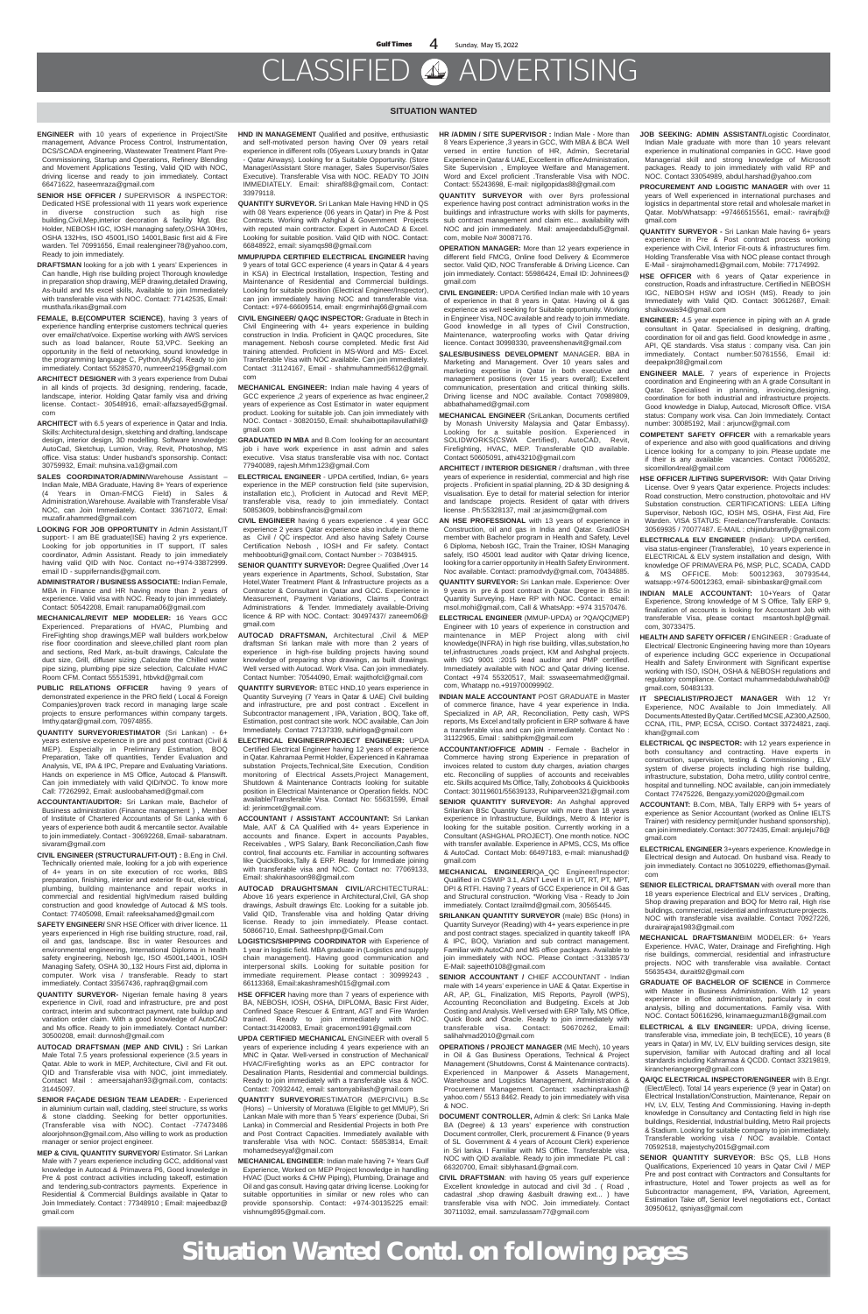#### **SITUATION WANTED**

- **ENGINEER** with 10 years of experience in Project/Site management, Advance Process Control, Instrumentation, DCS/SCADA engineering, Wastewater Treatment Plant Pre-Commissioning, Startup and Operations, Refinery Blending and Movement Applications Testing, Valid QID with NOC, driving license and ready to join immediately. Contact 66471622, haseemraza@gmail.com
- **SENIOR HSE OFFICER /** SUPERVISOR & INSPECTOR: Dedicated HSE professional with 11 years work experience in diverse construction such as high rise building,Civil,Mep,interior decoration & facility Mgt. Bsc Holder, NEBOSH IGC, IOSH managing safety,OSHA 30Hrs, OSHA 132Hrs, ISO 45001,ISO 14001,Basic first aid & Fire warden. Tel 70991656, Email realengineer78@yahoo.com, Ready to join immediately.
- **DRAFTSMAN** looking for a job with 1 years' Experiences in Can handle, High rise building project Thorough knowledge in preparation shop drawing, MEP drawing, detailed Drawing, As-build and Ms excel skills, Available to join Immediately with transferable visa with NOC. Contact: 77142535, Email: musthafa.rikas@gmail.com
- **FEMALE, B.E(COMPUTER SCIENCE)**, having 3 years of experience handling enterprise customers technical queries over email/chat/voice. Expertise working with AWS services such as load balancer, Route 53,VPC. Seeking an opportunity in the field of networking, sound knowledge in the programming language C, Python,MySql. Ready to join immediately. Contact 55285370, numreen2195@gmail.com
- **ARCHITECT DESIGNER** with 3 years experience from Dubai in all kinds of projects. 3d designing, rendering, facade, landscape, interior. Holding Qatar family visa and driving license. Contact:- 30548916, email:-alfazsayed5@gmail. com
- **ARCHITECT** with 6.5 years of experience in Qatar and India. Skills: Architectural design, sketching and drafting, landscape design, interior design, 3D modelling. Software knowledge: AutoCad, Sketchup, Lumion, Vray, Revit, Photoshop, MS office. Visa status: Under husband's sponsorship. Contact: 30759932, Email: muhsina.va1@gmail.com
- **SALES COORDINATOR/ADMIN/**Warehouse Assistant Indian Male, MBA Graduate, Having 8+ Years of experience (4 Years in Oman-FMCG Field) in Sales & Administration,Warehouse. Available with Transferable Visa/ NOC, can Join Immediately. Contact: 33671072, Email: muzafir.ahammed@gmail.com
- **LOOKING FOR JOB OPPORTUNITY** in Admin Assistant,IT support:- I am BE graduate(ISE) having 2 yrs experience. Looking for job opportunities in IT support, IT sales coordinator, Admin Assistant. Ready to join immediately having valid QID with Noc. Contact no-+974-33872999. email ID - suppifernandis@gmail.com.
- **ADMINISTRATOR / BUSINESS ASSOCIATE:** Indian Female, MBA in Finance and HR having more than 2 years of experience. Valid visa with NOC. Ready to join immediately. Contact: 50542208, Email: ranupama06@gmail.com
- **MECHANICAL/REVIT MEP MODELER:** 16 Years GCC Experienced. Preparations of HVAC, Plumbing and FireFighting shop drawings,MEP wall builders work,below rise floor coordination and sleeve,chilled plant room plan and sections, Red Mark, as-built drawings, Calculate the duct size, Grill, diffuser sizing ,Calculate the Chilled water pipe sizing, plumbing pipe size selection, Calculate HVAC Room CFM. Contact 55515391, htbvkd@gmail.com
- **PUBLIC RELATIONS OFFICER** having 9 years of demonstrated experience in the PRO field ( Local & Foreign Companies)proven track record in managing large scale projects to ensure performances within company targets. Imthy.qatar@gmail.com, 70974855.
- **QUANTITY SURVEYOR/ESTIMATOR** (Sri Lankan) 6+ years extensive experience in pre and post contract (Civil & MEP). Especially in Preliminary Estimation, BOQ Preparation, Take off quantities, Tender Evaluation and Analysis, VE, IPA & IPC, Prepare and Evaluating Variations. Hands on experience in MS Office, Autocad & Planswift. Can join immediately with valid QID/NOC. To know more

Call: 77262992, Email: ausloobahamed@gmail.com

- **ACCOUNTANT/AUDITOR:** Sri Lankan male, Bachelor of Business administration (Finance management ) , Member of Institute of Chartered Accountants of Sri Lanka with 6 years of experience both audit & mercantile sector. Available to join immediately. Contact - 30692268, Email- sabaratnam. sivaram@gmail.com
- **CIVIL ENGINEER (STRUCTURAL/FIT-OUT) :** B.Eng in Civil. Technically oriented male, looking for a job with experience of 4+ years in on site execution of rcc works, BBS preparation, finishing, interior and exterior fit-out, electrical, plumbing, building maintenance and repair works in commercial and residential high/medium raised building construction and good knowledge of Autocad & MS tools. Contact: 77405098, Email: rafeeksahamed@gmail.com
- **SAFETY ENGINEER/** SNR HSE Officer with driver licence. 11 years experienced in High rise building structure, road, rail, oil and gas, landscape. Bsc in water Resources and environmental engineering, International Diploma in health safety engineering, Nebosh Igc, ISO 45001,14001, IOSH Managing Safety, OSHA 30,,132 Hours First aid, diploma in computer. Work visa / transferable. Ready to start immediately. Contact 33567436, raphraq@gmail.com
- **QUANTITY SURVEYOR-** Nigerian female having 8 years experience in Civil, road and infrastructure, pre and post contract, interim and subcontract payment, rate buildup and variation order claim. With a good knowledge of AutoCAD and Ms office. Ready to join immediately. Contact number: 30500208, email: dunnosh@gmail.com
- **AUTOCAD DRAFTSMAN (MEP AND CIVIL) :** Sri Lankan Male Total 7.5 years professional experience (3.5 years in Qatar. Able to work in MEP, Architecture, Civil and Fit out. QID and Transferable visa with NOC, joint immediately. Contact Mail : ameersajahan93@gmail.com, contacts: 31445097.
- **SENIOR FAÇADE DESIGN TEAM LEADER:**  Experienced in aluminium curtain wall, cladding, steel structure, ss works & stone cladding. Seeking for better opportunities. (Transferable visa with NOC). Contact -77473486 aloorjohnson@gmail.com, Also willing to work as production manager or senior project engineer.
- **MEP & CIVIL QUANTITY SURVEYOR/** Estimator. Sri Lankan Male with 7 years experience including GCC, additional vast knowledge in Autocad & Primavera P6, Good knowledge in Pre & post contract activities including takeoff, estimation and tendering,sub-contractors payments. Experience in Residential & Commercial Buildings available in Qatar to Join Immediately. Contact : 77348910 ; Email: majeedbaz@ gmail.com
- **HND IN MANAGEMENT** Qualified and positive, enthusiastic and self-motivated person having Over 09 years retail experience in different rolls (05years Luxury brands in Qatar - Qatar Airways). Looking for a Suitable Opportunity. (Store Manager/Assistant Store manager, Sales Supervisor/Sales Executive). Transferable Visa with NOC. READY TO JOIN IMMEDIATELY. Email: shiraf88@gmail.com, Contact: 33979118.
- **QUANTITY SURVEYOR.** Sri Lankan Male Having HND in QS with 08 Years experience (06 years in Qatar) in Pre & Post Contracts. Working with Ashghal & Government Projects with reputed main contractor. Expert in AutoCAD & Excel. Looking for suitable position. Valid QID with NOC. Contact: 66848922, email: siyamqs98@gmail.com
- **MMUP/UPDA CERTIFIED ELECTRICAL ENGINEER** having 9 years of total GCC experience (4 years in Qatar & 4 years in KSA) in Electrical Installation, Inspection, Testing and Maintenance of Residential and Commercial buildings. Looking for suitable position (Electrical Engineer/Inspector), can join immediately having NOC and transferable visa. Contact: +974-66609514, email: engrminhaj66@gmail.com
- **CIVIL ENGINEER/ QAQC INSPECTOR:** Graduate in Btech in Civil Engineering with 4+ years experience in building construction in India. Proficient in QAQC procedures, Site management. Nebosh course completed. Medic first Aid training attended. Proficient in MS-Word and MS- Excel. Transferable Visa with NOC available. Can join immediately. Contact :31124167, Email - shahmuhammed5612@gmail. com
- **MECHANICAL ENGINEER:** Indian male having 4 years of GCC experience ,2 years of experience as hvac engineer,2 years of experience as Cost Estimator in water equipment product. Looking for suitable job. Can join immediately with NOC. Contact - 30820150, Email: shuhaibottapilavullathil@ gmail.com
- **GRADUATED IN MBA** and B.Com looking for an accountant job i have work experience in asst admin and sales executive. Visa status transferable visa with noc. Contact 77940089, rajesh.Mrhm123@gmail.Com
- **ELECTRICAL ENGINEER**  UPDA certified, Indian, 6+ years experience in the MEP construction field (site supervision, installation etc.), Proficient in Autocad and Revit MEP, transferable visa, ready to join immediately. Contact 50853609, bobbinsfrancis@gmail.com
- **CIVIL ENGINEER** having 6 years experience . 4 year GCC experience 2 years Qatar experience also include in theme as Civil / QC inspector. And also having Safety Course Certification Nebosh , IOSH and Fir safety. Contact mehboobturi@gmail.com, Contact Number :- 70384915.
- **SENIOR QUANTITY SURVEYOR:** Degree Qualified ,Over 14 years experience in Apartments, School, Substation, Star Hotel,Water Treatment Plant & Infrastructure projects as a Contractor & Consultant in Qatar and GCC. Experience in Measurement, Payment Variations, Claims , Contract Administrations & Tender. Immediately available-Driving licence & RP with NOC. Contact: 30497437/ zaneem06@ gmail.com
- **AUTOCAD DRAFTSMAN,** Architectural ,Civil & MEP draftsman Sri lankan male with more than 2 years of experience in high-rise building projects having sound knowledge of preparing shop drawings, as built drawings. Well versed with Autocad. Work Visa. Can join immediately. Contact Number: 70544090, Email: wajithofcl@gmail.com
- **QUANTITY SURVEYOR:** BTEC HND,10 years experience in Quantity Surveying (7 Years in Qatar & UAE) Civil building and infrastructure, pre and post contract . Excellent in Subcontractor management , IPA, Variation , BOQ, Take off, Estimation, post contract site work. NOC available, Can Join Immediately. Contact 77137339, suhirloga@gmail.com
- **ELECTRICAL ENGINEER/PROJECT ENGINEER:** UPDA Certified Electrical Engineer having 12 years of experience in Qatar. Kahramaa Permit Holder, Experienced in Kahramaa substation Projects,Technical,Site Execution, Condition monitoring of Electrical Assets,Project Management, Shutdown & Maintenance Contracts looking for suitable
- **JOB SEEKING: ADMIN ASSISTANT/**Logistic Coordinator, Indian Male graduate with more than 10 years relevant experience in multinational companies in GCC. Have good Managerial skill and strong knowledge of Microsoft packages. Ready to join immediately with valid RP and NOC. Contact 33054989, abdul.harshad@yahoo.com
- **PROCUREMENT AND LOGISTIC MANAGER** with over 11 years of Well experienced in international purchases and logistics in departmental store retail and wholesale market in Qatar. Mob/Whatsapp: +97466515561, email:- ravirajfx@ gmail.com
- **QUANTITY SURVEYOR -** Sri Lankan Male having 6+ years experience in Pre & Post contract process working experience with Civil, Interior Fit-outs & infrastructures firm. Holding Transferable Visa with NOC please contact through E-Mail - sirajmohamed1@gmail.com, Mobile: 77174992.
- **HSE OFFICER** with 6 years of Qatar experience in construction, Roads and infrastructure. Certified in NEBOSH IGC, NEBOSH HSW and IOSH (MS). Ready to join Immediately with Valid QID. Contact: 30612687, Email: shaikowais94@gmail.com
- **ENGINEER:** 4.5 year experience in piping with an A grade consultant in Qatar. Specialised in designing, drafting, coordination for oil and gas field. Good knowledge in asme , API, QE standards. Visa status : company visa. Can join immediately. Contact number:50761556, Email id: deepakpn38@gmail.com
- **ENGINEER MALE.** 7 years of experience in Projects coordination and Engineering with an A grade Consultant in Qatar. Specialised in planning, invoicing,designing, coordination for both industrial and infrastructure projects. Good knowledge in Dialup, Autocad, Microsoft Office. VISA status: Company work visa. Can Join Immediately. Contact number: 30085192, Mail : arjuncw@gmail.com
- **COMPETENT SAFETY OFFICER** with a remarkable years of experience and also with good qualifications and driving Licence looking for a company to join. Please update me if their is any available vacancies. Contact 70065202, sicomillon4real@gmail.com
- **HSE OFFICER /LIFTING SUPERVISOR:** With Qatar Driving License. Over 9 years Qatar experience. Projects includes: Road construction, Metro construction, photovoltaic and HV Substation construction. CERTIFICATIONS: LEEA Lifting Supervisor, Nebosh IGC, IOSH MS, OSHA, First Aid, Fire Warden. VISA STATUS: Freelance/Transferable. Contacts: 30569935 / 70077487. E-MAIL : chijindubrantly@gmail.com
- **ELECTRICAL& ELV ENGINEER** (Indian): UPDA certified, visa status-engineer (Transferable), 10 years experience in ELECTRICAL & ELV system installation and design, With knowledge OF PRIMAVERA P6, MSP, PLC, SCADA, CADD & MS OFFICE. Mob: 50012363, 30793544, watsapp:+974-50012363, email- sibinbaskar@gmail.com
- **INDIAN MALE ACCOUNTANT:** 10+Years of Qatar Experience, Strong knowledge of M S Office, Tally ERP 9, finalization of accounts is looking for Accountant Job with transferable Visa, please contact msantosh.bpl@gmail. com, 30733475.
- **HEALTH AND SAFETY OFFICER /** ENGINEER : Graduate of Electrical/ Electronic Engineering having more than 10years of experience including GCC experience in Occupational Health and Safety Environment with Significant expertise working with ISO, ISOH, OSHA & NEBOSH regulations and regulatory compliance. Contact muhammedabdulwahab0@ gmail.com, 50483133.
- **IT SPECIALIST/PROJECT MANAGER** With 12 Yr Experience, NOC Available to Join Immediately. All Documents Attested By Qatar. Certified MCSE,AZ300,AZ500, CCNA, ITIL, PMP, ECSA, CCISO. Contact 33724821, zaqi. khan@gmail.com
- **ELECTRICAL QC INSPECTOR:** with 12 years experience in both consultancy and contracting. Have experts in construction, supervision, testing & Commissioning , ELV system of diverse projects including high rise building, infrastructure, substation, Doha metro, utility control centre, hospital and tunnelling. NOC available, can join immediately

position in Electrical Maintenance or Operation fields. NOC available/Transferable Visa. Contact No: 55631599, Email id: jerinmcet@gmail.com.

- **ACCOUNTANT / ASSISTANT ACCOUNTANT:** Sri Lankan Male, AAT & CA Qualified with 4+ years Experience in accounts and finance. Expert in accounts Payables, Receivables , WPS Salary, Bank Reconciliation,Cash flow control, final accounts etc. Familiar in accounting softwares like QuickBooks,Tally & ERP. Ready for Immediate joining with transferable visa and NOC. Contact no: 77069133, Email: shakinhasoon98@gmail.com
- **AUTOCAD DRAUGHTSMAN CIVIL**/ARCHITECTURAL: Above 16 years experience in Architectural,Civil, GA shop drawings, Asbuilt drawings Etc. Looking for a suitable job. Valid QID, Transferable visa and holding Qatar driving license. Ready to join immediately. Please contact. 50866710, Email. Satheeshpnp@Gmail.Com
- **LOGISTICS/SHIPPING COORDINATOR** with Experience of 1 year in logistic field. MBA graduate in (Logistics and supply chain management). Having good communication and interpersonal skills. Looking for suitable position for immediate requirement. Please contact : 30999243 , 66113368, Email:akashramesh015@gmail.com
- **HSE OFFICER** having more than 7 years of experience with BA, NEBOSH, IOSH, OSHA, DIPLOMA, Basic First Aider, Confined Space Rescuer & Entrant, AGT and Fire Warden trained. Ready to join immediately with NOC. Contact:31420083, Email: gracemon1991@gmail.com
- **UPDA CERTIFIED MECHANICAL** ENGINEER with overall 5 years of experience including 4 years experience with an MNC in Qatar. Well-versed in construction of Mechanical/ HVAC/Firefighting works as an EPC contractor for Desalination Plants, Residential and commercial buildings. Ready to join immediately with a transferable visa & NOC. Contact: 70932442, email: santonyabilash@gmail.com
- **QUANTITY SURVEYOR/**ESTIMATOR (MEP/CIVIL) B.Sc (Hons) – University of Moratuwa (Eligible to get MMUP), Sri Lankan Male with more than 5 Years' experience (Dubai, Sri Lanka) in Commercial and Residential Projects in both Pre and Post Contract Capacities. Immediately available with transferable Visa with NOC. Contact: 55853814, Email: mohamedseyyaf@gmail.com
- **MECHANICAL ENGINEER**: Indian male having 7+ Years Gulf Experience, Worked on MEP Project knowledge in handling HVAC (Duct works & CHW Piping), Plumbing, Drainage and Oil and gas consult. Having qatar driving license. Looking for suitable opportunities in similar or new roles who can provide sponsorship. Contact: +974-30135225 email: vishnumg895@gmail.com.
- **HR /ADMIN / SITE SUPERVISOR :** Indian Male More than 8 Years Experience ,3 years in GCC, With MBA & BCA Well versed in entire function of HR, Admin, Secretarial Experience in Qatar & UAE, Excellent in office Administration, Site Supervision , Employee Welfare and Management. Word and Excel proficient .Transferable Visa with NOC. Contact: 55243698, E-mail: nigilgopidas88@gmail.com
- **QUANTITY SURVEYOR** with over 8yrs professional experience having post contract administration works in the buildings and infrastructure works with skills for payments, sub contract management and claim etc... availability with NOC and join immediately. Mail: amajeedabdul5@gmail. com, mobile No# 30087176.
- **OPERATION MANAGER:** More than 12 years experience in different field FMCG, Online food Delivery & Ecommerce sector. Valid QID, NOC Transferable & Driving Licence. Can join immediately. Contact: 55986424, Email ID: Johninees@ gmail.com
- **CIVIL ENGINEER:** UPDA Certified Indian male with 10 years of experience in that 8 years in Qatar. Having oil & gas experience as well seeking for Suitable opportunity. Working in Engineer Visa, NOC available and ready to join immediate. Good knowledge in all types of Civil Construction, Maintenance, waterproofing works with Qatar driving licence. Contact 30998330, praveenshenavit@gmail.com
- **SALES/BUSINESS DEVELOPMENT** MANAGER. BBA in Marketing and Management. Over 10 years sales and marketing expertise in Qatar in both executive and management positions (over 15 years overall); Excellent communication, presentation and critical thinking skills. Driving license and NOC available. Contact 70989809, abbathahamed@gmail.com
- **MECHANICAL ENGINEER** (SriLankan, Documents certified by Monash University Malaysia and Qatar Embassy). Looking for a suitable position. Experienced in SOLIDWORKS(CSWA Certified), AutoCAD, Revit, Firefighting, HVAC, MEP. Transferable QID available. Contact 50605091, athi43210@gmail.com
- **ARCHITECT / INTERIOR DESIGNER** / draftsman , with three years of experience in residential, commercial and high rise projects . Proficient in spatial planning, 2D & 3D designing & visualisation. Eye to detail for material selection for interior and landscape projects. Resident of qatar with drivers license . Ph:55328137, mail :ar.jasimcm@gmail.com
- **AN HSE PROFESSIONAL** with 13 years of experience in Construction, oil and gas in India and Qatar. GradIOSH member with Bachelor program in Health and Safety, Level 6 Diploma, Nebosh IGC, Train the Trainer, IOSH Managing safely, ISO 45001 lead auditor with Qatar driving licence, looking for a carrier opportunity in Health Safety Environment. Noc available. Contact: pramodvdy@gmail.com, 70434885.
- **QUANTITY SURVEYOR:** Sri Lankan male. Experience: Over 9 years in pre & post contract in Qatar. Degree in BSc in Quantity Surveying. Have RP with NOC. Contact: email: msol.mohi@gmail.com, Call & WhatsApp: +974 31570476.
- **ELECTRICAL ENGINEER** (MMUP-UPDA) or ?QA/QC(MEP) Engineer with 10 years of experience in construction and maintenance in MEP Project along with civil knowledge(INFRA) in high rise building, villas,substation,ho tel,infrastructures ,roads project, KM and Ashghal projects. with ISO 9001 :2015 lead auditor and PMP certified. Immediately available with NOC and Qatar driving license. Contact +974 55320517, Mail: sswaseemahmed@gmail. com, Whatapp no.+919700099902.
- **INDIAN MALE ACCOUNTANT** POST GRADUATE in Master of commerce finance, have 4 year experience in India. Specialized in AP, AR, Reconciliation, Petty cash, WPS reports, Ms Excel and tally proficient in ERP software & have a transferable visa and can join immediately. Contact No : 31122965, Email : sabithpkm@gmail.com
- **ACCOUNTANT/OFFICE ADMIN**  Female Bachelor in Commerce having strong Experience in preparation of invoices related to custom duty charges, aviation charges etc. Reconciling of supplies of accounts and receivables etc. Skills acquired Ms Office, Tally, Zohobooks & Quickbooks

Contact: 30119601/55639133, Ruhiparveen321@gmail.com

- **SENIOR QUANTITY SURVEYOR:** An Ashghal approved Srilankan BSc Quantity Surveyor with more than 18 years experience in Infrastructure, Buildings, Metro & Interior is looking for the suitable position. Currently working in a Consultant (ASHGHAL PROJECT). One month notice. NOC with transfer available. Experience in APMS, CCS, Ms office & AutoCad. Contact Mob: 66497183, e-mail: mianushad@ gmail.com
- **MECHANICAL ENGINEER/**QA\_QC Engineer/Inspector: Qualified in CSWIP 3.1, ASNT Level II in UT, RT, PT, MPT, DPI & RTFI. Having 7 years of GCC Experience in Oil & Gas and Structural construction. \*Working Visa - Ready to Join immediately. Contact Izrailmd@gmail.com, 30565445.
- **SRILANKAN QUANTITY SURVEYOR** (male) BSc (Hons) in Quantity Surveyor (Reading) with 4+ years experience in pre and post contract stages. specialized in quantity takeoff IPA & IPC, BOQ, Variation and sub contract management. Familiar with AutoCAD and MS office packages. Available to join immediately with NOC. Please Contact :-31338573/ E-Mail: sajeeth0108@gmail.com
- **SENIOR ACCOUNTANT /** CHIEF ACCOUNTANT Indian male with 14 years' experience in UAE & Qatar. Expertise in AR, AP, GL, Finalization, MIS Reports, Payroll (WPS), Accounting Reconciliation and Budgeting. Excels at Job Costing and Analysis. Well versed with ERP Tally, MS Office, Quick Book and Oracle. Ready to join immediately with transferable visa. Contact: 50670262, Email: salihahmad2010@gmail.com
- **OPERATIONS / PROJECT MANAGER** (ME Mech), 10 years in Oil & Gas Business Operations, Technical & Project Management (Shutdowns, Const & Maintenance contracts). Experienced in Manpower & Assets Management, Warehouse and Logistics Management, Administration & Procurement Management. Contact: xsachinprakash@ yahoo.com / 5513 8462. Ready to join immediately with visa & NOC.
- **DOCUMENT CONTROLLER,** Admin & clerk: Sri Lanka Male BA (Degree) & 13 years' experience with construction Document controller, Clerk, procurement & Finance (9 years of SL Government & 4 years of Account Clerk) experience in Sri lanka. I Familiar with MS Office. Transferable visa, NOC with QID available. Ready to join immediate PL call : 66320700, Email: siblyhasan1@gmail.com.
- **CIVIL DRAFTSMAN**: with having 05 years gulf experience Excellent knowledge in autocad and civil 3d . ( Road , cadastral ,shop drawing &asbuilt drawing ext... ) have transferable visa with NOC. Join immediately. Contact 30711032, email. samzulassam77@gmail.com
- Contact 77475226, Bengazy.yomi2020@gmail.com
- **ACCOUNTANT:** B.Com, MBA, Tally ERP9 with 5+ years of experience as Senior Accountant (worked as Online IELTS Trainer) with residency permit(under husband sponsorship), can join immediately. Contact: 30772435, Email: anjuleju78@ gmail.com
- **ELECTRICAL ENGINEER** 3+years experience. Knowledge in Electrical design and Autocad. On husband visa. Ready to join immediately. Contact no 30510229, effiethomas@ymail. com
- **SENIOR ELECTRICAL DRAFTSMAN** with overall more than 18 years experience Electrical and ELV services , Drafting, Shop drawing preparation and BOQ for Metro rail, High rise buildings, commercial, residential and infrastructure projects. NOC with transferable visa available. Contact 70927226, durairajraja1983@gmail.com
- **MECHANICAL DRAFTSMAN/**BIM MODELER: 6+ Years Experience. HVAC, Water, Drainage and Firefighting. High rise buildings, commercial, residential and infrastructure projects. NOC with transferable visa available. Contact 55635434, durait92@gmail.com
- **GRADUATE OF BACHELOR OF SCIENCE** in Commerce with Master in Business Administration. With 12 years experience in office administration, particularly in cost analysis, billing and documentations. Family visa. With NOC. Contact 50616296, krinamaeguzman18@gmail.com
- **ELECTRICAL & ELV ENGINEER:** UPDA, driving license, transferable visa, immediate join, B tech(ECE), 10 years (8 years in Qatar) in MV, LV, ELV building services design, site supervision, familiar with Autocad drafting and all local standards including Kahramaa & QCDD. Contact 33219819, kirancheriangeorge@gmail.com
- **QA/QC ELECTRICAL INSPECTOR/ENGINEER** with B.Engr. (Elect/Elect). Total 14 years experience (9 year in Qatar) on Electrical Installation/Construction, Maintenance, Repair on HV, LV, ELV, Testing And Commissioning. Having in-depth knowledge in Consultancy and Contacting field in high rise buildings, Residential, Industrial building, Metro Rail projects & Stadium. Looking for suitable company to join immediately. Transferable working visa / NOC available. Contact 70592518, majestychy2015@gmail.com
- **SENIOR QUANTITY SURVEYOR**: BSc QS, LLB Hons Qualifications, Experienced 10 years in Qatar Civil / MEP Pre and post contract with Contractors and Consultants for infrastructure, Hotel and Tower projects as well as for Subcontractor management, IPA, Variation, Agreement, Estimation Take off, Senior level negotiations ect., Contact 30950612, qsniyas@gmail.com

**Situation Wanted Contd. on following pages**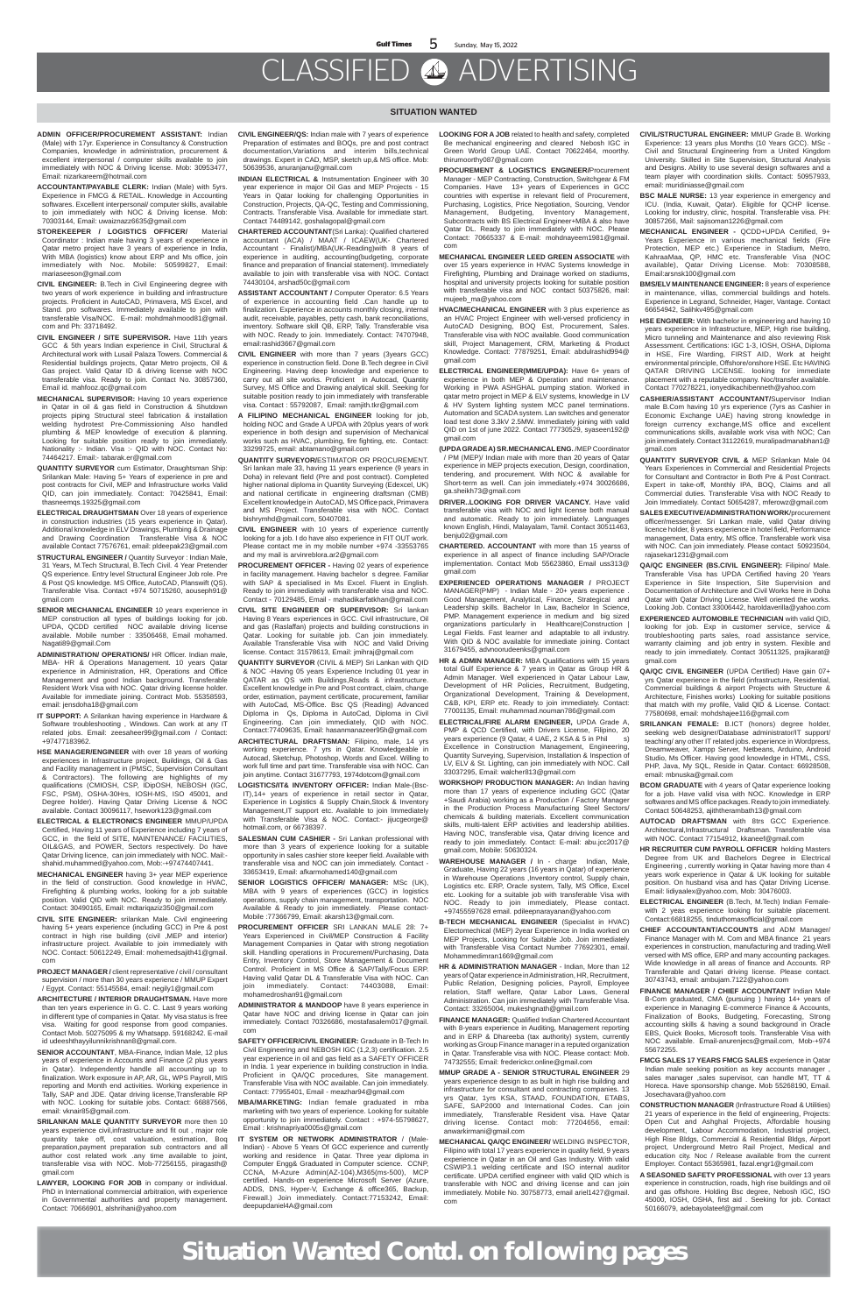- **ADMIN OFFICER/PROCUREMENT ASSISTANT:** Indian (Male) with 17yr. Experience in Consultancy & Construction Companies, knowledge in administration, procurement & excellent interpersonal / computer skills available to join immediately with NOC & Driving license. Mob: 30953477, Email: nizarkareem@hotmail.com
- **ACCOUNTANT/PAYABLE CLERK:** Indian (Male) with 5yrs. Experience in FMCG & RETAIL. Knowledge in Accounting softwares. Excellent interpersonal/ computer skills, available to join immediately with NOC & Driving license. Mob: 70303144, Email: uwaiznazz6635@gmail.com
- **STOREKEEPER / LOGISTICS OFFICER/** Material Coordinator : Indian male having 3 years of experience in Qatar metro project have 3 years of experience in India, With MBA (logistics) know about ERP and Ms office, join immediately with Noc. Mobile: 50599827, Email: mariaseeson@gmail.com
- **CIVIL ENGINEER:** B.Tech in Civil Engineering degree with two years of work experience in building and infrastructure projects. Proficient in AutoCAD, Primavera, MS Excel, and Stand. pro softwares. Immediately available to join with transferable Visa/NOC. E-mail: mohdmahmood81@gmail. com and Ph: 33718492.
- **CIVIL ENGINEER / SITE SUPERVISOR.** Have 11th years GCC & 5th years Indian experience in Civil, Structural & Architectural work with Lusail Palaza Towers. Commercial & Residential buildings projects, Qatar Metro projects, Oil & Gas project. Valid Qatar ID & driving license with NOC transferable visa. Ready to join. Contact No. 30857360, Email id. mahfooz.qc@gmail.com
- **MECHANICAL SUPERVISOR:** Having 10 years experience in Qatar in oil & gas field in Construction & Shutdown projects piping Structural steel fabrication & installation welding hydrotest Pre-Commissioning Also handled plumbing & MEP knowledge of execution & planning. Looking for suitable position ready to join immediately. Nationality :- Indian. Visa :- QID with NOC. Contact No: 74464217. Email:- tabarak.er@gmail.com
- **QUANTITY SURVEYOR** cum Estimator, Draughtsman Ship: Srilankan Male: Having 5+ Years of experience in pre and post contracts for Civil, MEP and Infrastructure works Valid QID, can join immediately. Contact: 70425841, Email: thasneemqs.19325@gmail.com
- **ELECTRICAL DRAUGHTSMAN** Over 18 years of experience in construction industries (15 years experience in Qatar). Additional knowledge in ELV Drawings, Plumbing & Drainage and Drawing Coordination Transferable Visa & NOC available Contact 77576761, email: pldeepak23@gmail.com
- **STRUCTURAL ENGINEER /** Quantity Surveyor : Indian Male, 31 Years, M.Tech Structural, B.Tech Civil. 4 Year Pretender QS experience. Entry level Structural Engineer Job role. Pre & Post QS knowledge. MS Office, AutoCAD, Planswift (QS). Transferable Visa. Contact +974 50715260, aouseph91@ gmail.com
- **SENIOR MECHANICAL ENGINEER** 10 years experience in MEP construction all types of buildings looking for job. UPDA, QCDD certified NOC available driving license available. Mobile number : 33506468, Email mohamed. Nagati89@gmail.Com
- **ADMINISTRATION/ OPERATIONS/** HR Officer. Indian male, MBA- HR & Operations Management. 10 years Qatar experience in Administration, HR, Operations and Office Management and good Indian background. Transferable Resident Work Visa with NOC. Qatar driving license holder. Available for immediate joining. Contract Mob. 55358593, email: jensdoha18@gmail.com
- **IT SUPPORT:** A Srilankan having experience in Hardware & Software troubleshooting , Windows. Can work at any IT related jobs. Email: zeesaheer99@gmail.com / Contact: +97477183962.
- **HSE MANAGER/ENGINEER** with over 18 years of working experiences in Infrastructure project, Buildings, Oil & Gas and Facility management in (PMSC, Supervision Consultant & Contractors). The following are highlights of my qualifications (CMIOSH, CSP, IDipOSH, NEBOSH (IGC,

**SENIOR ACCOUNTANT**, MBA-Finance, Indian Male, 12 plus years of experience in Accounts and Finance (2 plus years in Qatar). Independently handle all accounting up to finalization. Work exposure in AP, AR, GL, WPS Payroll, MIS reporting and Month end activities. Working experience in Tally, SAP and JDE. Qatar driving license,Transferable RP with NOC. Looking for suitable jobs. Contact: 66887566, email: vknair85@gmail.com.

FSC, PSM), OSHA-30Hrs, IOSH-MS, ISO 45001, and Degree holder). Having Qatar Driving License & NOC available. Contact 30096117, hsework123@gmail.com

**ELECTRICAL & ELECTRONICS ENGINEER** MMUP/UPDA Certified, Having 11 years of Experience including 7 years of GCC, in the field of SITE, MAINTENANCE/ FACILITIES, OIL&GAS, and POWER, Sectors respectively. Do have Qatar Driving licence, can join immediately with NOC. Mail: shahid.muhammed@yahoo.com, Mob:-+97474407441.

**MECHANICAL ENGINEER** having 3+ year MEP experience in the field of construction. Good knowledge in HVAC, Firefighting & plumbing works, looking for a job suitable position. Valid QID with NOC. Ready to join immediately. Contact: 30490165, Email: mdtariqaziz350@gmail.com

**CIVIL SITE ENGINEER:** srilankan Male. Civil engineering having 5+ years experience (including GCC) in Pre & post contract in high rise building (civil ,MEP and interior) infrastructure project. Available to join immediately with NOC. Contact: 50612249, Email: mohemedsajith41@gmail. com

**PROJECT MANAGER /** client representative / civil / consultant supervision / more than 30 years experience / MMUP Expert / Egypt. Contact: 55145584, email: negily1@gmail.com

**ARCHITECTURE / INTERIOR DRAUGHTSMAN.** Have more than ten years experience in G. C. C. Last 9 years working in different type of companies in Qatar. My visa status is free visa. Waiting for good response from good companies. Contact Mob. 50275095 & my Whatsapp. 59168242. E-mail id udeeshthayyilunnikrishnan8@gmail.com.

**SRILANKAN MALE QUANTITY SURVEYOR** more then 10 years experience civil,infrastructure and fit out , major role quantity take off, cost valuation, estimation, Boq preparation,payment preparation sub contractors and all author cost related work .any time available to joint, transferable visa with NOC. Mob-77256155, piragasth@ gmail.com

**LAWYER, LOOKING FOR JOB** in company or individual. PhD in International commercial arbitration, with experience in Governmental authorities and property management. Contact: 70666901, alshrihani@yahoo.com

- **CIVIL ENGINEER/QS:** Indian male with 7 years of experience Preparation of estimates and BOQs, pre and post contract documentation,Variations and interim bills,technical drawings. Expert in CAD, MSP, sketch up,& MS office. Mob: 50639536, anuranjanu@gmail.com
- **INDIAN ELECTRICAL &** Instrumentation Engineer with 30 year experience in major Oil Gas and MEP Projects - 15 Years in Qatar looking for challenging Opportunities in Construction, Projects, QA-QC, Testing and Commissioning, Contracts. Transferable Visa. Available for immediate start. Contact 74489142, goshalagopal@gmail.com
- **CHARTERED ACCOUNTANT**(Sri Lanka): Qualified chartered accountant (ACA) / MAAT / ICAEW(UK- Chartered Accountant - Finalist)/MBA(UK-Reading)with 8 years of experience in auditing, accounting(budgeting, corporate finance and preparation of financial statement). Immediately available to join with transferable visa with NOC. Contact 74430104, arshad50c@gmail.com
- **ASSISTANT ACCOUNTANT /** Computer Operator: 6.5 Years of experience in accounting field .Can handle up to finalization. Experience in accounts monthly closing, internal audit, receivable, payables, petty cash, bank reconciliations, inventory. Software skill QB, ERP, Tally. Transferable visa with NOC. Ready to join. Immediately. Contact: 74707948, email:rashid3667@gmail.com
- **CIVIL ENGINEER** with more than 7 years (3years GCC) experience in construction field. Done B.Tech degree in Civil Engineering. Having deep knowledge and experience to carry out all site works. Proficient in Autocad, Quantity Survey, MS Office and Drawing analytical skill. Seeking for suitable position ready to join immediately with transferable visa. Contact : 55792087, Email: ramjith.tkr@gmail.com
- **A FILIPINO MECHANICAL ENGINEER** looking for job, holding NOC and Grade A UPDA with 20plus years of work experience in both design and supervision of Mechanical works such as HVAC, plumbing, fire fighting, etc. Contact: 33299725, email: abtamano@gmail.com
- **QUANTITY SURVEYOR/**ESTIMATOR OR PROCUREMENT. Sri lankan male 33, having 11 years experience (9 years in Doha) in relevant field (Pre and post contract). Completed higher national diploma in Quantity Surveying (Edexcel, UK) and national certificate in engineering draftsman (CMB) Excellent knowledge in AutoCAD, MS Office pack, Primavera and MS Project. Transferable visa with NOC. Contact bishrymhd@gmail.com, 50407081.
- **CIVIL ENGINEER** with 10 years of experience currently looking for a job. I do have also experience in FIT OUT work. Please contact me in my mobile number +974 -33553765 and my mail is arvinreblora.ar2@gmail.com
- **PROCUREMENT OFFICER -** Having 02 years of experience in facility management. Having bachelor s degree. Familiar with SAP & specialised in Ms Excel. Fluent in English. Ready to join immediately with transferable visa and NOC. Contact - 70129485, Email - mahadikarfatkhan@gmail.com
- **CIVIL SITE ENGINEER OR SUPERVISOR:** Sri lankan Having 8 Years experiences in GCC. Civil infrastructure, Oil and gas (Raslaffan) projects and building constructions in Qatar. Looking for suitable job. Can join immediately. Available Transferable Visa with NOC and Valid Driving license. Contact: 31578613, Email: jmihraj@gmail.com
- **QUANTITY SURVEYOR** (CIVIL & MEP) Sri Lankan with QID & NOC -Having 05 years Experience Including 01 year in QATAR as QS with Buildings,Roads & infrastructure. Excellent knowledge in Pre and Post contract, claim, change order, estimation, payment certificate, procurement, familiar with AutoCad, MS-Office. Bsc QS (Reading) Advanced Diploma in Qs, Diploma in AutoCad, Diploma in Civil Engineering. Can join immediately, QID with NOC. Contact:77409635, Email: hasanmanazeer95h@gmail.com
- **ARCHITECTURAL DRAFTSMAN:** Filipino, male, 14 yrs working experience. 7 yrs in Qatar. Knowledgeable in Autocad, Sketchup, Photoshop, Words and Excel. Willing to work full time and part time. Transferable visa with NOC. Can join anytime. Contact 31677793, 1974dotcom@gmail.com **LOGISTICS/IT& INVENTORY OFFICER:** Indian Male-(Bsc-
- 
- **CIVIL/STRUCTURAL ENGINEER:** MMUP Grade B. Working Experience: 13 years plus Months (10 Years GCC). MSc - Civil and Structural Engineering from a United Kingdom University. Skilled in Site Supervision, Structural Analysis and Designs. Ability to use several design softwares and a team player with coordination skills. Contact: 50957933, email: muridiniasse@gmail.com
- **BSC MALE NURSE:** 13 year experience in emergency and ICU. (India, Kuwait, Qatar). Eligible for QCHP license. Looking for industry, clinic, hospital. Transferable visa. PH: 30857266, Mail: sajisoman1226@gmail.com
- **MECHANICAL ENGINEER** QCDD+UPDA Certified, 9+ Years Experience in various mechanical fields (Fire Protection, MEP etc.) Experience in Stadium, Metro, KahraaMaa, QP, HMC etc. Transferable Visa (NOC available), Qatar Driving License. Mob: 70308588, Email:arsnsk100@gmail.com
- **BMS/ELV MAINTENANCE ENGINEER:** 8 years of experience in maintenance, villas, commercial buildings and hotels. Experience in Legrand, Schneider, Hager, Vantage. Contact 66654942, Salihkv495@gmail.com
- **HSE ENGINEER:** With bachelor in engineering and having 10 years experience in Infrastructure, MEP, High rise building, Micro tunneling and Maintenance and also reviewing Risk Assessment. Certifications: IGC 1-3, IOSH, OSHA, Diploma in HSE, Fire Warding, FIRST AID, Work at height environmental principle, Offshore/onshore HSE. Etc HAVING QATAR DRIVING LICENSE. looking for immediate placement with a reputable company. Noc/transfer available. Contact 770278221, ionyedikachibenneth@yahoo.com
- **CASHIER/ASSISTANT ACCOUNTANT/**Supervisor Indian male B.Com having 10 yrs experience (7yrs as Cashier in Economic Exchange UAE) having strong knowledge in foreign currency exchange,MS office and excellent communications skills, available work visa with NOC; Can join immediately. Contact 31122619, muralipadmanabhan1@ gmail.com
- **QUANTITY SURVEYOR CIVIL &** MEP Srilankan Male 04 Years Experiences in Commercial and Residential Projects for Consultant and Contractor in Both Pre & Post Contract. Expert in take-off, Monthly IPA, BOQ, Claims and all Commercial duties. Transferable Visa with NOC Ready to Join Immediately. Contact 50654287, mferowz@gmail.com
- **SALES EXECUTIVE/ADMINISTRATION WORK**/procurement officer/messenger. Sri Lankan male, valid Qatar driving licence holder, 8 years experience in hotel field, Performance management, Data entry, MS office. Transferable work visa with NOC. Can join immediately. Please contact 50923504, rajasekar1231@gmail.com
- **QA/QC ENGINEER (BS.CIVIL ENGINEER):** Filipino/ Male. Transferable Visa has UPDA Certified having 20 Years Experience in Site Inspection, Site Supervision and Documentation of Architecture and Civil Works here in Doha Qatar with Qatar Driving License. Well oriented the works. Looking Job. Contact 33006442, haroldaverilla@yahoo.com
- **EXPERIENCED AUTOMOBILE TECHNICIAN** with valid QID, looking for job. Exp in customer service, service & troubleshooting parts sales, road assistance service, warranty claiming and job entry in system. Flexible and ready to join immediately. Contact 30511325, prajikarat@ gmail.com
- **QA/QC CIVIL ENGINEER** (UPDA Certified) Have gain 07+ yrs Qatar experience in the field (infrastructure, Residential, Commercial buildings & airport Projects with Structure & Architecture, Finishes works) Looking for suitable positions that match with my profile, Valid QID & License. Contact: 77580698, email: mohdshajee116@gmail.com
- **SRILANKAN FEMALE:** B.ICT (honors) degree holder, seeking web designer/Database administrator/IT support/ teaching/ any other IT related jobs. experience in Wordpress, Dreamweaver, Xampp Server, Netbeans, Arduino, Android Studio, Ms Officer. Having good knowledge in HTML, CSS, PHP, Java, My SQL, Reside in Qatar. Contact: 66928508, email: mbnuska@gmail.com
- **BCOM GRADUATE** with 4 years of Oatar experience looking

IT),14+ years of experience in retail sector in Qatar, Experience in Logistics & Supply Chain,Stock & Inventory Management,IT support etc. Available to join Immediately with Transferable Visa & NOC. Contact:- iijucgeorge@ hotmail.com, or 66738397.

**SALESMAN CUM CASHIER -** Sri Lankan professional with more than 3 years of experience looking for a suitable opportunity in sales cashier store keeper field. Available with transferable visa and NOC can join immediately. Contact - 33653419, Email: afkarmohamed140@gmail.com

**SENIOR LOGISTICS OFFICER/ MANAGER:** MSc (UK), MBA with 9 years of experiences (GCC) in logistics operations, supply chain management, transportation. NOC Available & Ready to join immediately. Please contact-Mobile :77366799, Email: akarsh13@gmail.com.

**PROCUREMENT OFFICER** SRI LANKAN MALE 28: 7+ Years Experienced in Civil/MEP Construction & Facility Management Companies in Qatar with strong negotiation skill. Handling operations in Procurement/Purchasing, Data Entry, Inventory Control, Store Management & Document Control. Proficient in MS Office & SAP/Tally/Focus ERP. Having valid Qatar DL & Transferable Visa with NOC. Can join immediately. Contact: 74403088, Email: mohamedroshan91@gmail.com

**ADMINISTRATOR & MANDOOP** have 8 years experience in Qatar have NOC and driving license in Qatar can join immediately. Contact 70326686, mostafasalem017@gmail. com

**SAFETY OFFICER/CIVIL ENGINEER:** Graduate in B-Tech In Civil Engineering and NEBOSH IGC (1,2,3) certification. 2.5 year experience in oil and gas field as a SAFETY OFFICER in India. 1 year experience in building construction in India. Proficient in QA/QC procedures, Site management. Transferable Visa with NOC available. Can join immediately. Contact: 77955401, Email - meazhar94@gmail.com

**MBA/MARKETING:** Indian female graduated in mba marketing with two years of experience. Looking for suitable opportunity to join immediately. Contact : +974-55798627, Email : krishnapriya0005s@gmail.com

**IT SYSTEM OR NETWORK ADMINISTRATOR** / (Male-Indian) - Above 5 Years Of GCC experience and currently working and residence in Qatar. Three year diploma in Computer Engg& Graduated in Computer science. CCNP, CCNA, M-Azure Admin(AZ-104),M365(ms-500), MCP certified. Hands-on experience Microsoft Server (Azure, ADDS, DNS, Hyper-V, Exchange & office365, Backup, Firewall.) Join immediately. Contact:77153242, Email: deepupdaniel4A@gmail.com

- **LOOKING FOR A JOB** related to health and safety, completed Be mechanical engineering and cleared Nebosh IGC in Green World Group UAE. Contact 70622464, moorthy. thirumoorthy087@gmail.com
- **PROCUREMENT & LOGISTICS ENGINEER/**Procurement Manager - MEP Contracting, Construction, Switchgear & FM Companies. Have 13+ years of Experiences in GCC countries with expertise in relevant field of Procurement, Purchasing, Logistics, Price Negotiation, Sourcing, Vendor Management, Budgeting, Inventory Management, Subcontracts with BS Electrical Engineer+MBA & also have Qatar DL. Ready to join immediately with NOC. Please Contact: 70665337 & E-mail: mohdnayeem1981@gmail. com
- **MECHANICAL ENGINEER LEED GREEN ASSOCIATE** with over 15 years experience in HVAC Systems knowledge in Firefighting, Plumbing and Drainage worked on stadiums, hospital and university projects looking for suitable position with transferable visa and NOC contact 50375826, mail: mujeeb\_ma@yahoo.com
- **HVAC/MECHANICAL ENGINEER** with 3 plus experience as an HVAC Project Engineer with well-versed proficiency in AutoCAD Designing, BOQ Est, Procurement, Sales. Transferable visa with NOC available. Good communication skill, Project Management, CRM, Marketing & Product Knowledge. Contact: 77879251, Email: abdulrashid994@ gmail.com
- **ELECTRICAL ENGINEER(MME/UPDA):** Have 6+ years of experience in both MEP & Operation and maintenance. Working in PWA ASHGHAL pumping station. Worked in qatar metro project in MEP & ELV systems, knowledge in LV & HV System lighting system MCC panel terminations. Automation and SCADA system. Lan switches and generator load test done 3.3kV 2.5MW. Immediately joining with valid QID on 1st of june 2022. Contact 77730529, syaseen192@ gmail.com
- **(UPDA GRADE A) SR.MECHANICAL ENG.** /MEP Coordinator / PM (MEP)/ Indian male with more than 20 years of Qatar experience in MEP projects execution, Design, coordination, tendering, and procurement. With NOC & available for Short-term as well. Can join immediately.+974 30026686, ga.sheikh73@gmail.com
- **DRIVER..LOOKING FOR DRIVER VACANCY.** Have valid transferable visa with NOC and light license both manual and automatic. Ready to join immediately. Languages known English, Hindi, Malayalam, Tamil. Contact 30511463, benju02@gmail.com
- **CHARTERED. ACCOUNTANT** with more than 15 yearss of experience in all aspect of finance including SAP/Oracle implementation. Contact Mob 55623860, Email uss313@ gmail.com
- **EXPERIENCED OPERATIONS MANAGER /** PROJECT MANAGER(PMP) - Indian Male - 20+ years experience Good Management, Analytical, Finance, Strategical and Leadership skills. Bachelor In Law, Bachelor In Science, PMP. Management experience in medium and big sized organizations particularly in Healthcare|Construction | Legal Fields. Fast learner and adaptable to all industry. With QID & NOC available for immediate joining. Contact 31679455, advnoorudeenks@gmail.com
- **HR & ADMIN MANAGER:** MBA Qualifications with 15 years total Gulf Experience & 7 years in Qatar as Group HR & Admin Manager. Well experienced in Qatar Labour Law, Development of HR Policies, Recruitment, Budgeting, Organizational Development, Training & Development, C&B, KPI, ERP etc. Ready to join immediately. Contact: 77001135, Email: muhammad.nouman786@gmail.com
- **ELECTRICAL/FIRE ALARM ENGINEER,** UPDA Grade A, PMP & QCD Certified, with Drivers License, Filipino, 20 years experience (9 Qatar, 4 UAE, 2 KSA & 5 in Phil s) Excellence in Construction Management, Engineering, Quantity Surveying, Supervision, Installation & Inspection of LV, ELV & St. Lighting, can join immediately with NOC. Call 33037295, Email: walcher813@gmail.com
- **WORKSHOP/ PRODUCTION MANAGER:** An Indian having

more than 17 years of experience including GCC (Qatar +Saudi Arabia) working as a Production / Factory Manager in the Production Process Manufacturing Steel Sectors/ chemicals & building materials. Excellent communication skills, multi-talent ERP activities and leadership abilities. Having NOC, transferable visa, Qatar driving licence and ready to join immediately. Contact: E-mail: abu.jcc2017@ gmail.com, Mobile: 50630324.

**WAREHOUSE MANAGER /** In - charge Indian, Male, Graduate, Having 22 years (16 years in Qatar) of experience in Warehouse Operations ,Inventory control, Supply chain, Logistics etc. ERP, Oracle system, Tally, MS Office, Excel etc. Looking for a suitable job with transferable Visa with NOC. Ready to join immediately, Please contact. +97455597628 email. pdileepnarayanan@yahoo.com

**B-TECH MECHANICAL ENGINEER** (Specialist in HVAC) Electomechical (MEP) 2year Experience in India worked on MEP Projects, Looking for Suitable Job. Join immediately with Transferable Visa Contact Number 77692301, email Mohammedimran1669@gmail.com

**HR & ADMINISTRATION MANAGER** - Indian, More than 12 years of Qatar experience in Administration, HR, Recruitment, Public Relation, Designing policies, Payroll, Employee relation, Staff welfare, Qatar Labor Laws, General Administration. Can join immediately with Transferable Visa. Contact: 33265004, mukeshgnath@gmail.com

**FINANCE MANAGER:** Qualified Indian Chartered Accountant with 8-years experience in Auditing, Management reporting and in ERP & Dhareeba (tax authority) system, currently working as Group Finance manager in a reputed organization in Qatar. Transferable visa with NOC. Please contact: Mob. 74732555; Email: frederickcr.online@gmail.com

**MMUP GRADE A - SENIOR STRUCTURAL ENGINEER** 29 years experience design to as built in high rise building and infrastructure for consultant and contracting companies. 13 yrs Qatar, 1yrs KSA, STAAD, FOUNDATION, ETABS, SAFE, SAP2000 and International Codes. Can join immediately, Transferable Resident visa. Have Qatar driving license. Contact mob: 77204656, email: anwarkirmani@gmail.com

**MECHANICAL QA/QC ENGINEER/** WELDING INSPECTOR, Filipino with total 17 years experience in quality field, 9 years experience in Qatar in an Oil and Gas Industry. With valid CSWIP3.1 welding certificate and ISO internal auditor certificate. UPDA certified engineer with valid QID which is transferable with NOC and driving license and can join immediately. Mobile No. 30758773, email ariel1427@gmail. com

for a job. Have valid visa with NOC. Knowledge in ERP softwares and MS office packages. Ready to join immediately. Contact 50648253, ajiththerambath13@gmail.com

**AUTOCAD DRAFTSMAN** with 8trs GCC Experience. Architectural, Infrastructural Draftsman. Transferable visa with NOC. Contact 77154912, kkaneef@gmail.com

**HR RECRUITER CUM PAYROLL OFFICER** holding Masters Degree from UK and Bachelors Degree in Electrical Engineering , currently working in Qatar having more than 4 years work experience in Qatar & UK looking for suitable position. On husband visa and has Qatar Driving License. Email: lidiyaalex@yahoo.com, Mob: 30476003.

**ELECTRICAL ENGINEER** (B.Tech, M.Tech) Indian Femalewith 2 yeas experience looking for suitable placement. Contact:66818255, tinduthomasofficial@gmail.com

**CHIEF ACCOUNTANT/ACCOUNTS** and ADM Manager/ Finance Manager with M. Com and MBA finance 21 years experiences in construction, manufacturing and trading.Well versed with MS office, ERP and many accounting packages. Wide knowledge in all areas of finance and Accounts. RP Transferable and Qatari driving license. Please contact. 30743743, email: ambujam.7122@yahoo.com

**FINANCE MANAGER / CHIEF ACCOUNTANT** Indian Male B-Com graduated, CMA (pursuing ) having 14+ years of experience in Managing E-commerce Finance & Accounts, Finalization of Books, Budgeting, Forecasting, Strong accounting skills & having a sound background in Oracle EBS, Quick Books, Microsoft tools. Transferable Visa with NOC available. Email-anurenjecs@gmail.com, Mob-+974 55672255.

**FMCG SALES 17 YEARS FMCG SALES** experience in Qatar Indian male seeking position as key accounts manager , sales manager , sales supervisor, can handle MT, TT & Horeca. Have sponsorship change. Mob 55268190, Email. Josechavara@yahoo.com

**CONSTRUCTION MANAGER** (Infrastructure Road & Utilities) 21 years of experience in the field of engineering, Projects: Open Cut and Ashghal Projects, Affordable housing development, Labour Accommodation, Industrial project, High Rise Bldgs, Commercial & Residential Bldgs, Airport project, Underground Metro Rail Project, Medical and education city. Noc / Release available from the current Employer. Contact 55365981, fazal.engr1@gmail.com

**A SEASONED SAFETY PROFESSIONAL** with over 13 years experience in construction, roads, high rise buildings and oil and gas offshore. Holding Bsc degree, Nebosh IGC, ISO 45000, IOSH, OSHA, first aid . Seeking for job. Contact 50166079, adebayolateef@gmail.com

#### **SITUATION WANTED**

**Situation Wanted Contd. on following pages**